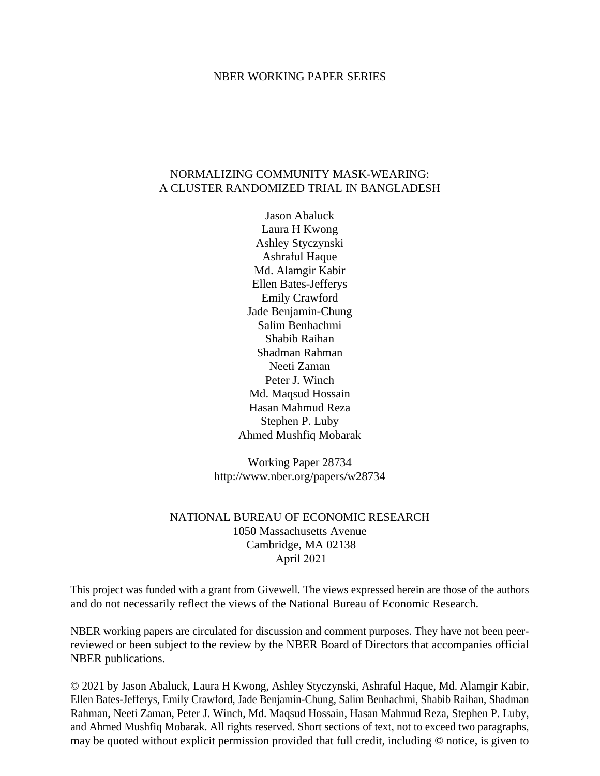### NBER WORKING PAPER SERIES

### NORMALIZING COMMUNITY MASK-WEARING: A CLUSTER RANDOMIZED TRIAL IN BANGLADESH

Jason Abaluck Laura H Kwong Ashley Styczynski Ashraful Haque Md. Alamgir Kabir Ellen Bates-Jefferys Emily Crawford Jade Benjamin-Chung Salim Benhachmi Shabib Raihan Shadman Rahman Neeti Zaman Peter J. Winch Md. Maqsud Hossain Hasan Mahmud Reza Stephen P. Luby Ahmed Mushfiq Mobarak

Working Paper 28734 http://www.nber.org/papers/w28734

### NATIONAL BUREAU OF ECONOMIC RESEARCH 1050 Massachusetts Avenue Cambridge, MA 02138 April 2021

This project was funded with a grant from Givewell. The views expressed herein are those of the authors and do not necessarily reflect the views of the National Bureau of Economic Research.

NBER working papers are circulated for discussion and comment purposes. They have not been peerreviewed or been subject to the review by the NBER Board of Directors that accompanies official NBER publications.

© 2021 by Jason Abaluck, Laura H Kwong, Ashley Styczynski, Ashraful Haque, Md. Alamgir Kabir, Ellen Bates-Jefferys, Emily Crawford, Jade Benjamin-Chung, Salim Benhachmi, Shabib Raihan, Shadman Rahman, Neeti Zaman, Peter J. Winch, Md. Maqsud Hossain, Hasan Mahmud Reza, Stephen P. Luby, and Ahmed Mushfiq Mobarak. All rights reserved. Short sections of text, not to exceed two paragraphs, may be quoted without explicit permission provided that full credit, including © notice, is given to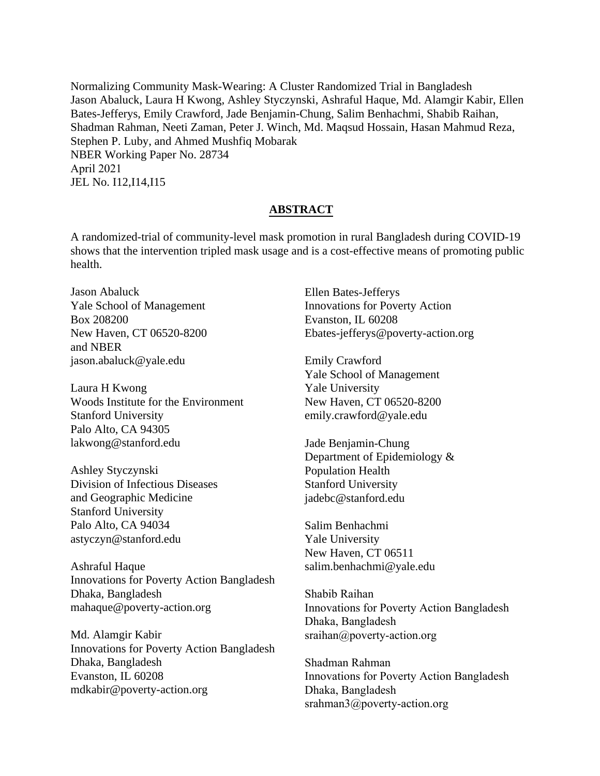Normalizing Community Mask-Wearing: A Cluster Randomized Trial in Bangladesh Jason Abaluck, Laura H Kwong, Ashley Styczynski, Ashraful Haque, Md. Alamgir Kabir, Ellen Bates-Jefferys, Emily Crawford, Jade Benjamin-Chung, Salim Benhachmi, Shabib Raihan, Shadman Rahman, Neeti Zaman, Peter J. Winch, Md. Maqsud Hossain, Hasan Mahmud Reza, Stephen P. Luby, and Ahmed Mushfiq Mobarak NBER Working Paper No. 28734 April 2021 JEL No. I12,I14,I15

### **ABSTRACT**

A randomized-trial of community-level mask promotion in rural Bangladesh during COVID-19 shows that the intervention tripled mask usage and is a cost-effective means of promoting public health.

Jason Abaluck Yale School of Management Box 208200 New Haven, CT 06520-8200 and NBER jason.abaluck@yale.edu

Laura H Kwong Woods Institute for the Environment Stanford University Palo Alto, CA 94305 lakwong@stanford.edu

Ashley Styczynski Division of Infectious Diseases and Geographic Medicine Stanford University Palo Alto, CA 94034 astyczyn@stanford.edu

Ashraful Haque Innovations for Poverty Action Bangladesh Dhaka, Bangladesh mahaque@poverty-action.org

Md. Alamgir Kabir Innovations for Poverty Action Bangladesh Dhaka, Bangladesh Evanston, IL 60208 mdkabir@poverty-action.org

Ellen Bates-Jefferys Innovations for Poverty Action Evanston, IL 60208 Ebates-jefferys@poverty-action.org

Emily Crawford Yale School of Management Yale University New Haven, CT 06520-8200 emily.crawford@yale.edu

Jade Benjamin-Chung Department of Epidemiology & Population Health Stanford University jadebc@stanford.edu

Salim Benhachmi Yale University New Haven, CT 06511 salim.benhachmi@yale.edu

Shabib Raihan Innovations for Poverty Action Bangladesh Dhaka, Bangladesh sraihan@poverty-action.org

Shadman Rahman Innovations for Poverty Action Bangladesh Dhaka, Bangladesh srahman3@poverty-action.org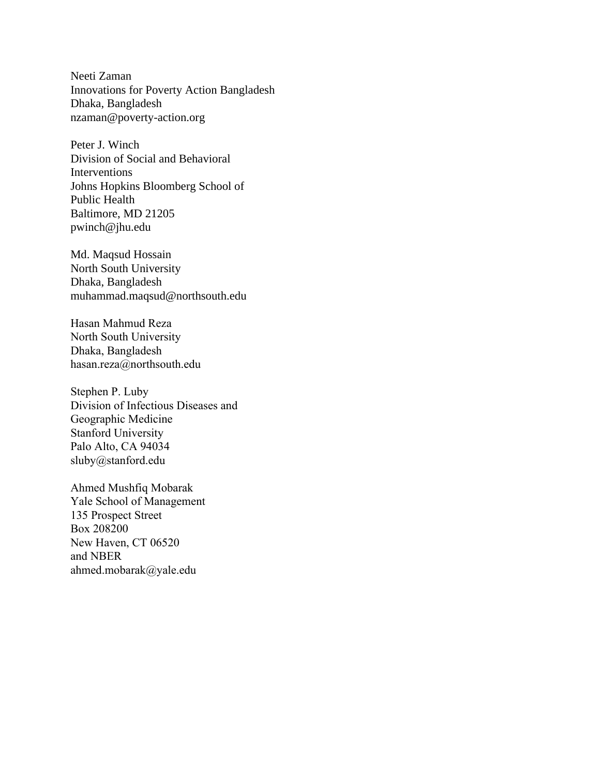Neeti Zaman Innovations for Poverty Action Bangladesh Dhaka, Bangladesh nzaman@poverty-action.org

Peter J. Winch Division of Social and Behavioral Interventions Johns Hopkins Bloomberg School of Public Health Baltimore, MD 21205 pwinch@jhu.edu

Md. Maqsud Hossain North South University Dhaka, Bangladesh muhammad.maqsud@northsouth.edu

Hasan Mahmud Reza North South University Dhaka, Bangladesh hasan.reza@northsouth.edu

Stephen P. Luby Division of Infectious Diseases and Geographic Medicine Stanford University Palo Alto, CA 94034 sluby@stanford.edu

Ahmed Mushfiq Mobarak Yale School of Management 135 Prospect Street Box 208200 New Haven, CT 06520 and NBER ahmed.mobarak@yale.edu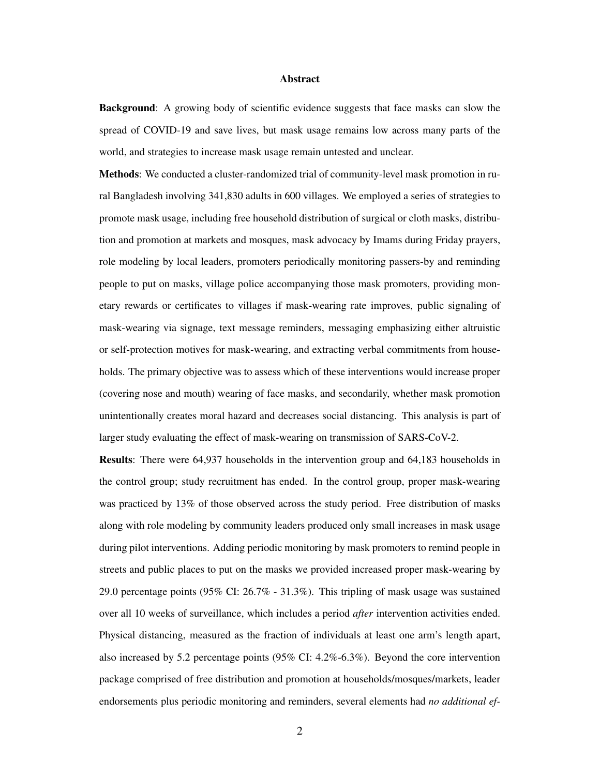### Abstract

Background: A growing body of scientific evidence suggests that face masks can slow the spread of COVID-19 and save lives, but mask usage remains low across many parts of the world, and strategies to increase mask usage remain untested and unclear.

Methods: We conducted a cluster-randomized trial of community-level mask promotion in rural Bangladesh involving 341,830 adults in 600 villages. We employed a series of strategies to promote mask usage, including free household distribution of surgical or cloth masks, distribution and promotion at markets and mosques, mask advocacy by Imams during Friday prayers, role modeling by local leaders, promoters periodically monitoring passers-by and reminding people to put on masks, village police accompanying those mask promoters, providing monetary rewards or certificates to villages if mask-wearing rate improves, public signaling of mask-wearing via signage, text message reminders, messaging emphasizing either altruistic or self-protection motives for mask-wearing, and extracting verbal commitments from households. The primary objective was to assess which of these interventions would increase proper (covering nose and mouth) wearing of face masks, and secondarily, whether mask promotion unintentionally creates moral hazard and decreases social distancing. This analysis is part of larger study evaluating the effect of mask-wearing on transmission of SARS-CoV-2.

Results: There were 64,937 households in the intervention group and 64,183 households in the control group; study recruitment has ended. In the control group, proper mask-wearing was practiced by 13% of those observed across the study period. Free distribution of masks along with role modeling by community leaders produced only small increases in mask usage during pilot interventions. Adding periodic monitoring by mask promoters to remind people in streets and public places to put on the masks we provided increased proper mask-wearing by 29.0 percentage points (95% CI: 26.7% - 31.3%). This tripling of mask usage was sustained over all 10 weeks of surveillance, which includes a period *after* intervention activities ended. Physical distancing, measured as the fraction of individuals at least one arm's length apart, also increased by 5.2 percentage points (95% CI: 4.2%-6.3%). Beyond the core intervention package comprised of free distribution and promotion at households/mosques/markets, leader endorsements plus periodic monitoring and reminders, several elements had *no additional ef-*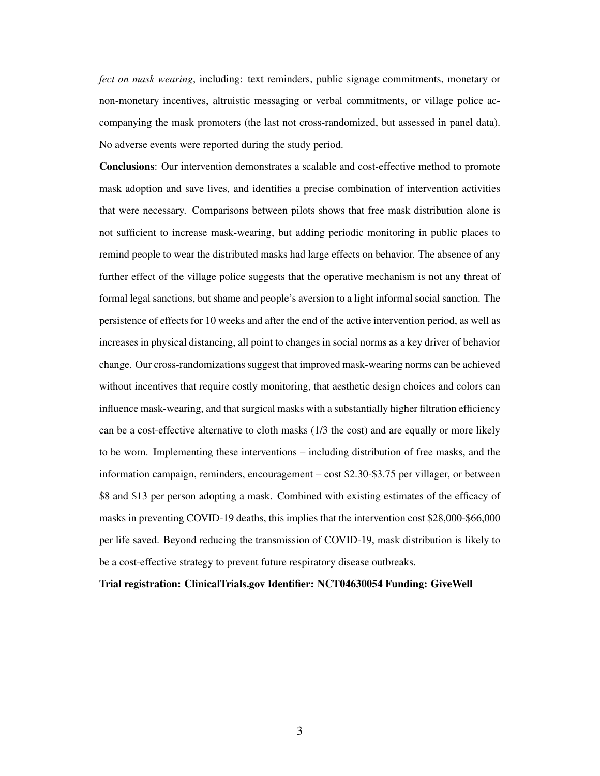*fect on mask wearing*, including: text reminders, public signage commitments, monetary or non-monetary incentives, altruistic messaging or verbal commitments, or village police accompanying the mask promoters (the last not cross-randomized, but assessed in panel data). No adverse events were reported during the study period.

Conclusions: Our intervention demonstrates a scalable and cost-effective method to promote mask adoption and save lives, and identifies a precise combination of intervention activities that were necessary. Comparisons between pilots shows that free mask distribution alone is not sufficient to increase mask-wearing, but adding periodic monitoring in public places to remind people to wear the distributed masks had large effects on behavior. The absence of any further effect of the village police suggests that the operative mechanism is not any threat of formal legal sanctions, but shame and people's aversion to a light informal social sanction. The persistence of effects for 10 weeks and after the end of the active intervention period, as well as increases in physical distancing, all point to changes in social norms as a key driver of behavior change. Our cross-randomizations suggest that improved mask-wearing norms can be achieved without incentives that require costly monitoring, that aesthetic design choices and colors can influence mask-wearing, and that surgical masks with a substantially higher filtration efficiency can be a cost-effective alternative to cloth masks (1/3 the cost) and are equally or more likely to be worn. Implementing these interventions – including distribution of free masks, and the information campaign, reminders, encouragement – cost \$2.30-\$3.75 per villager, or between \$8 and \$13 per person adopting a mask. Combined with existing estimates of the efficacy of masks in preventing COVID-19 deaths, this implies that the intervention cost \$28,000-\$66,000 per life saved. Beyond reducing the transmission of COVID-19, mask distribution is likely to be a cost-effective strategy to prevent future respiratory disease outbreaks.

Trial registration: ClinicalTrials.gov Identifier: NCT04630054 Funding: GiveWell

3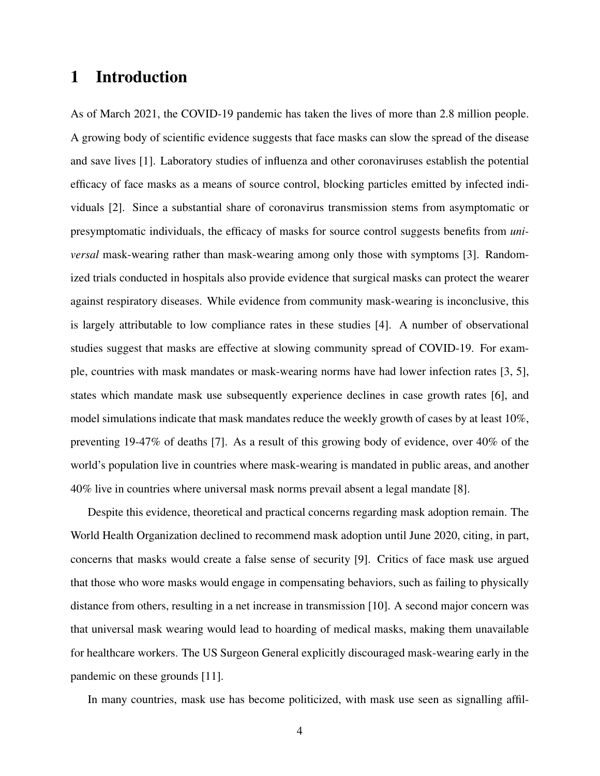# 1 Introduction

As of March 2021, the COVID-19 pandemic has taken the lives of more than 2.8 million people. A growing body of scientific evidence suggests that face masks can slow the spread of the disease and save lives [\[1\]](#page-30-0). Laboratory studies of influenza and other coronaviruses establish the potential efficacy of face masks as a means of source control, blocking particles emitted by infected individuals [\[2\]](#page-30-1). Since a substantial share of coronavirus transmission stems from asymptomatic or presymptomatic individuals, the efficacy of masks for source control suggests benefits from *universal* mask-wearing rather than mask-wearing among only those with symptoms [\[3\]](#page-30-2). Randomized trials conducted in hospitals also provide evidence that surgical masks can protect the wearer against respiratory diseases. While evidence from community mask-wearing is inconclusive, this is largely attributable to low compliance rates in these studies [\[4\]](#page-30-3). A number of observational studies suggest that masks are effective at slowing community spread of COVID-19. For example, countries with mask mandates or mask-wearing norms have had lower infection rates [\[3,](#page-30-2) [5\]](#page-30-4), states which mandate mask use subsequently experience declines in case growth rates [\[6\]](#page-30-5), and model simulations indicate that mask mandates reduce the weekly growth of cases by at least 10%, preventing 19-47% of deaths [\[7\]](#page-30-6). As a result of this growing body of evidence, over 40% of the world's population live in countries where mask-wearing is mandated in public areas, and another 40% live in countries where universal mask norms prevail absent a legal mandate [\[8\]](#page-30-7).

Despite this evidence, theoretical and practical concerns regarding mask adoption remain. The World Health Organization declined to recommend mask adoption until June 2020, citing, in part, concerns that masks would create a false sense of security [\[9\]](#page-30-8). Critics of face mask use argued that those who wore masks would engage in compensating behaviors, such as failing to physically distance from others, resulting in a net increase in transmission [\[10\]](#page-30-9). A second major concern was that universal mask wearing would lead to hoarding of medical masks, making them unavailable for healthcare workers. The US Surgeon General explicitly discouraged mask-wearing early in the pandemic on these grounds [\[11\]](#page-30-10).

In many countries, mask use has become politicized, with mask use seen as signalling affil-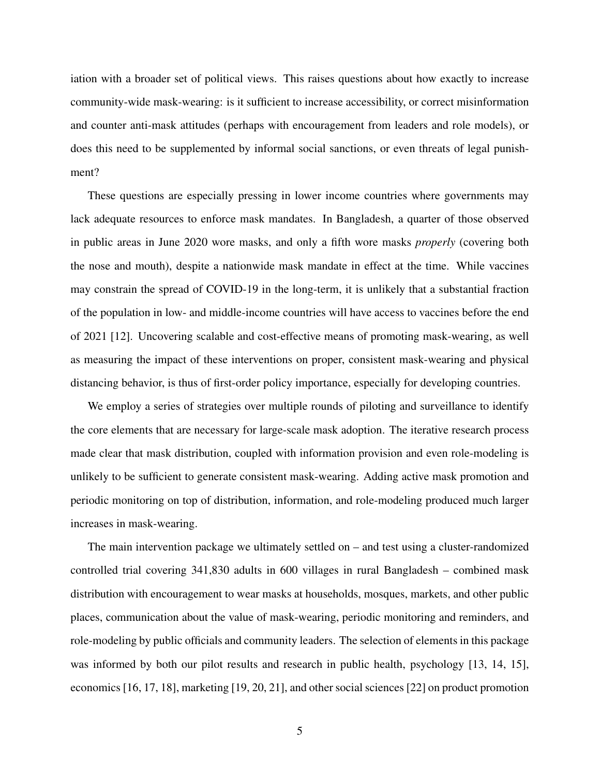iation with a broader set of political views. This raises questions about how exactly to increase community-wide mask-wearing: is it sufficient to increase accessibility, or correct misinformation and counter anti-mask attitudes (perhaps with encouragement from leaders and role models), or does this need to be supplemented by informal social sanctions, or even threats of legal punishment?

These questions are especially pressing in lower income countries where governments may lack adequate resources to enforce mask mandates. In Bangladesh, a quarter of those observed in public areas in June 2020 wore masks, and only a fifth wore masks *properly* (covering both the nose and mouth), despite a nationwide mask mandate in effect at the time. While vaccines may constrain the spread of COVID-19 in the long-term, it is unlikely that a substantial fraction of the population in low- and middle-income countries will have access to vaccines before the end of 2021 [\[12\]](#page-30-11). Uncovering scalable and cost-effective means of promoting mask-wearing, as well as measuring the impact of these interventions on proper, consistent mask-wearing and physical distancing behavior, is thus of first-order policy importance, especially for developing countries.

We employ a series of strategies over multiple rounds of piloting and surveillance to identify the core elements that are necessary for large-scale mask adoption. The iterative research process made clear that mask distribution, coupled with information provision and even role-modeling is unlikely to be sufficient to generate consistent mask-wearing. Adding active mask promotion and periodic monitoring on top of distribution, information, and role-modeling produced much larger increases in mask-wearing.

The main intervention package we ultimately settled on – and test using a cluster-randomized controlled trial covering 341,830 adults in 600 villages in rural Bangladesh – combined mask distribution with encouragement to wear masks at households, mosques, markets, and other public places, communication about the value of mask-wearing, periodic monitoring and reminders, and role-modeling by public officials and community leaders. The selection of elements in this package was informed by both our pilot results and research in public health, psychology [\[13,](#page-30-12) [14,](#page-30-13) [15\]](#page-30-14), economics [\[16,](#page-31-0) [17,](#page-31-1) [18\]](#page-31-2), marketing [\[19,](#page-31-3) [20,](#page-31-4) [21\]](#page-31-5), and other social sciences [\[22\]](#page-31-6) on product promotion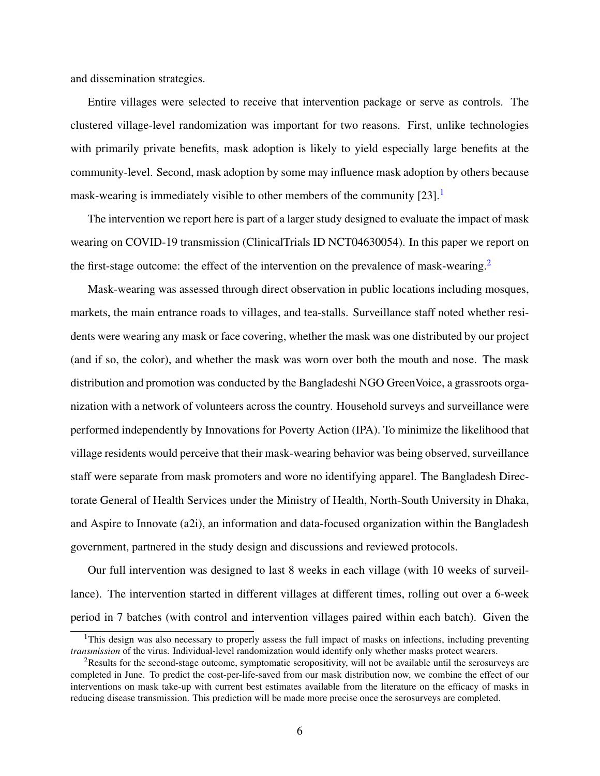and dissemination strategies.

Entire villages were selected to receive that intervention package or serve as controls. The clustered village-level randomization was important for two reasons. First, unlike technologies with primarily private benefits, mask adoption is likely to yield especially large benefits at the community-level. Second, mask adoption by some may influence mask adoption by others because mask-wearing is immediately visible to other members of the community  $[23]$ .<sup>[1](#page-7-0)</sup>

The intervention we report here is part of a larger study designed to evaluate the impact of mask wearing on COVID-19 transmission (ClinicalTrials ID NCT04630054). In this paper we report on the first-stage outcome: the effect of the intervention on the prevalence of mask-wearing.<sup>[2](#page-7-1)</sup>

Mask-wearing was assessed through direct observation in public locations including mosques, markets, the main entrance roads to villages, and tea-stalls. Surveillance staff noted whether residents were wearing any mask or face covering, whether the mask was one distributed by our project (and if so, the color), and whether the mask was worn over both the mouth and nose. The mask distribution and promotion was conducted by the Bangladeshi NGO GreenVoice, a grassroots organization with a network of volunteers across the country. Household surveys and surveillance were performed independently by Innovations for Poverty Action (IPA). To minimize the likelihood that village residents would perceive that their mask-wearing behavior was being observed, surveillance staff were separate from mask promoters and wore no identifying apparel. The Bangladesh Directorate General of Health Services under the Ministry of Health, North-South University in Dhaka, and Aspire to Innovate (a2i), an information and data-focused organization within the Bangladesh government, partnered in the study design and discussions and reviewed protocols.

Our full intervention was designed to last 8 weeks in each village (with 10 weeks of surveillance). The intervention started in different villages at different times, rolling out over a 6-week period in 7 batches (with control and intervention villages paired within each batch). Given the

<span id="page-7-0"></span><sup>&</sup>lt;sup>1</sup>This design was also necessary to properly assess the full impact of masks on infections, including preventing *transmission* of the virus. Individual-level randomization would identify only whether masks protect wearers.

<span id="page-7-1"></span><sup>&</sup>lt;sup>2</sup>Results for the second-stage outcome, symptomatic seropositivity, will not be available until the serosurveys are completed in June. To predict the cost-per-life-saved from our mask distribution now, we combine the effect of our interventions on mask take-up with current best estimates available from the literature on the efficacy of masks in reducing disease transmission. This prediction will be made more precise once the serosurveys are completed.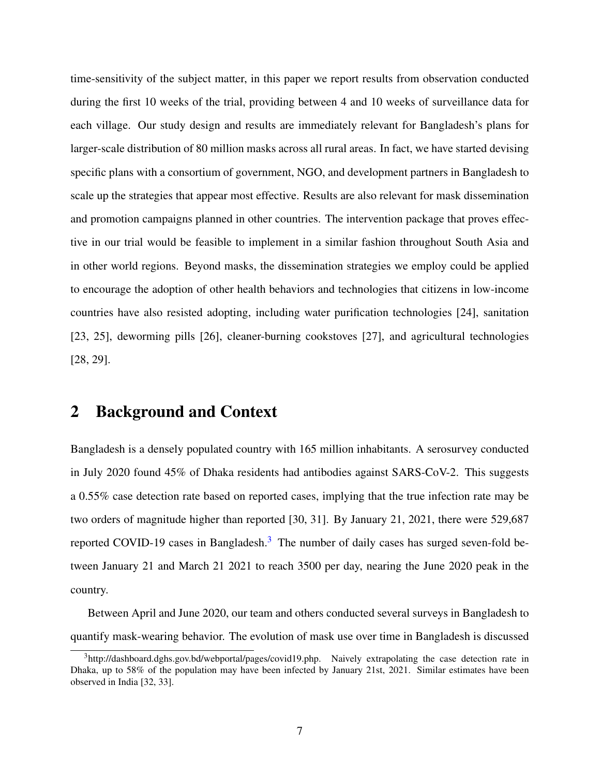time-sensitivity of the subject matter, in this paper we report results from observation conducted during the first 10 weeks of the trial, providing between 4 and 10 weeks of surveillance data for each village. Our study design and results are immediately relevant for Bangladesh's plans for larger-scale distribution of 80 million masks across all rural areas. In fact, we have started devising specific plans with a consortium of government, NGO, and development partners in Bangladesh to scale up the strategies that appear most effective. Results are also relevant for mask dissemination and promotion campaigns planned in other countries. The intervention package that proves effective in our trial would be feasible to implement in a similar fashion throughout South Asia and in other world regions. Beyond masks, the dissemination strategies we employ could be applied to encourage the adoption of other health behaviors and technologies that citizens in low-income countries have also resisted adopting, including water purification technologies [\[24\]](#page-31-8), sanitation [\[23,](#page-31-7) [25\]](#page-31-9), deworming pills [\[26\]](#page-31-10), cleaner-burning cookstoves [\[27\]](#page-31-11), and agricultural technologies [\[28,](#page-31-12) [29\]](#page-31-13).

# 2 Background and Context

Bangladesh is a densely populated country with 165 million inhabitants. A serosurvey conducted in July 2020 found 45% of Dhaka residents had antibodies against SARS-CoV-2. This suggests a 0.55% case detection rate based on reported cases, implying that the true infection rate may be two orders of magnitude higher than reported [\[30,](#page-31-14) [31\]](#page-32-0). By January 21, 2021, there were 529,687 reported COVID-19 cases in Bangladesh.<sup>[3](#page-8-0)</sup> The number of daily cases has surged seven-fold between January 21 and March 21 2021 to reach 3500 per day, nearing the June 2020 peak in the country.

Between April and June 2020, our team and others conducted several surveys in Bangladesh to quantify mask-wearing behavior. The evolution of mask use over time in Bangladesh is discussed

<span id="page-8-0"></span><sup>&</sup>lt;sup>3</sup>http://dashboard.dghs.gov.bd/webportal/pages/covid19.php. Naively extrapolating the case detection rate in Dhaka, up to 58% of the population may have been infected by January 21st, 2021. Similar estimates have been observed in India [\[32,](#page-32-1) [33\]](#page-32-2).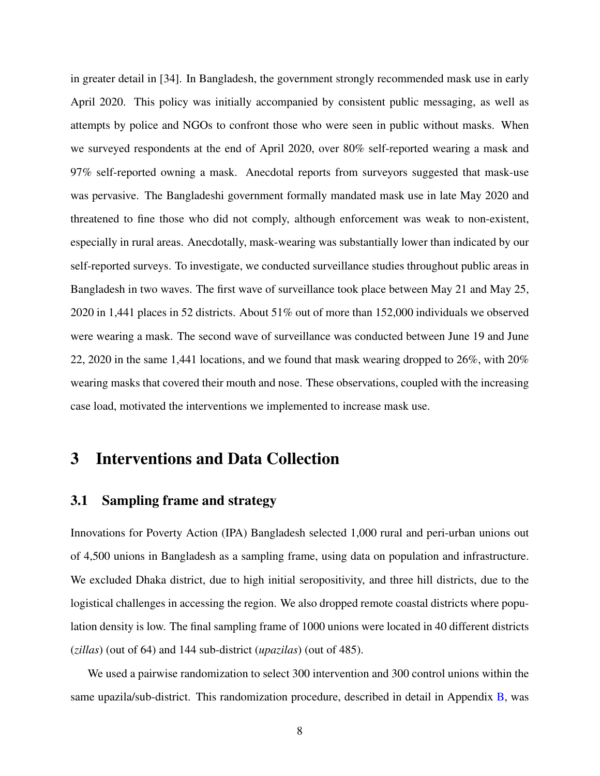in greater detail in [\[34\]](#page-32-3). In Bangladesh, the government strongly recommended mask use in early April 2020. This policy was initially accompanied by consistent public messaging, as well as attempts by police and NGOs to confront those who were seen in public without masks. When we surveyed respondents at the end of April 2020, over 80% self-reported wearing a mask and 97% self-reported owning a mask. Anecdotal reports from surveyors suggested that mask-use was pervasive. The Bangladeshi government formally mandated mask use in late May 2020 and threatened to fine those who did not comply, although enforcement was weak to non-existent, especially in rural areas. Anecdotally, mask-wearing was substantially lower than indicated by our self-reported surveys. To investigate, we conducted surveillance studies throughout public areas in Bangladesh in two waves. The first wave of surveillance took place between May 21 and May 25, 2020 in 1,441 places in 52 districts. About 51% out of more than 152,000 individuals we observed were wearing a mask. The second wave of surveillance was conducted between June 19 and June 22, 2020 in the same 1,441 locations, and we found that mask wearing dropped to 26%, with 20% wearing masks that covered their mouth and nose. These observations, coupled with the increasing case load, motivated the interventions we implemented to increase mask use.

# 3 Interventions and Data Collection

## 3.1 Sampling frame and strategy

Innovations for Poverty Action (IPA) Bangladesh selected 1,000 rural and peri-urban unions out of 4,500 unions in Bangladesh as a sampling frame, using data on population and infrastructure. We excluded Dhaka district, due to high initial seropositivity, and three hill districts, due to the logistical challenges in accessing the region. We also dropped remote coastal districts where population density is low. The final sampling frame of 1000 unions were located in 40 different districts (*zillas*) (out of 64) and 144 sub-district (*upazilas*) (out of 485).

We used a pairwise randomization to select 300 intervention and 300 control unions within the same upazila/sub-district. This randomization procedure, described in detail in Appendix [B,](#page-45-0) was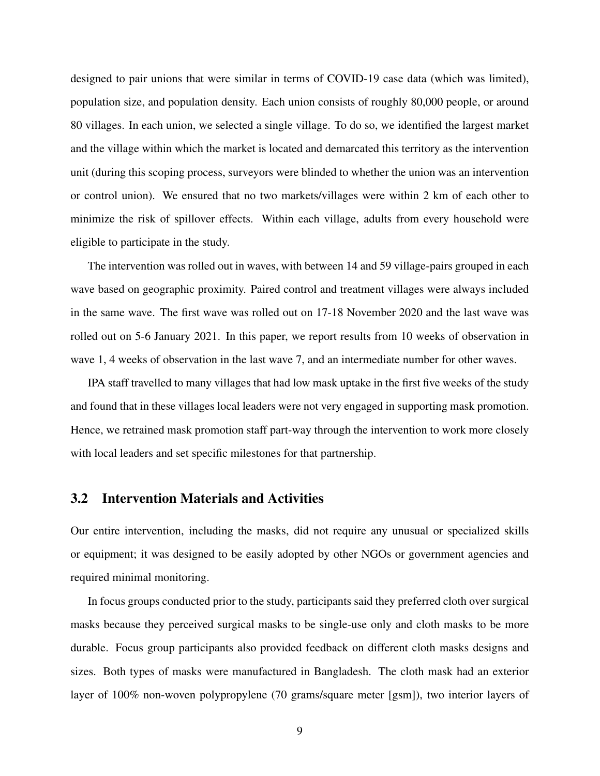designed to pair unions that were similar in terms of COVID-19 case data (which was limited), population size, and population density. Each union consists of roughly 80,000 people, or around 80 villages. In each union, we selected a single village. To do so, we identified the largest market and the village within which the market is located and demarcated this territory as the intervention unit (during this scoping process, surveyors were blinded to whether the union was an intervention or control union). We ensured that no two markets/villages were within 2 km of each other to minimize the risk of spillover effects. Within each village, adults from every household were eligible to participate in the study.

The intervention was rolled out in waves, with between 14 and 59 village-pairs grouped in each wave based on geographic proximity. Paired control and treatment villages were always included in the same wave. The first wave was rolled out on 17-18 November 2020 and the last wave was rolled out on 5-6 January 2021. In this paper, we report results from 10 weeks of observation in wave 1, 4 weeks of observation in the last wave 7, and an intermediate number for other waves.

IPA staff travelled to many villages that had low mask uptake in the first five weeks of the study and found that in these villages local leaders were not very engaged in supporting mask promotion. Hence, we retrained mask promotion staff part-way through the intervention to work more closely with local leaders and set specific milestones for that partnership.

### <span id="page-10-0"></span>3.2 Intervention Materials and Activities

Our entire intervention, including the masks, did not require any unusual or specialized skills or equipment; it was designed to be easily adopted by other NGOs or government agencies and required minimal monitoring.

In focus groups conducted prior to the study, participants said they preferred cloth over surgical masks because they perceived surgical masks to be single-use only and cloth masks to be more durable. Focus group participants also provided feedback on different cloth masks designs and sizes. Both types of masks were manufactured in Bangladesh. The cloth mask had an exterior layer of 100% non-woven polypropylene (70 grams/square meter [gsm]), two interior layers of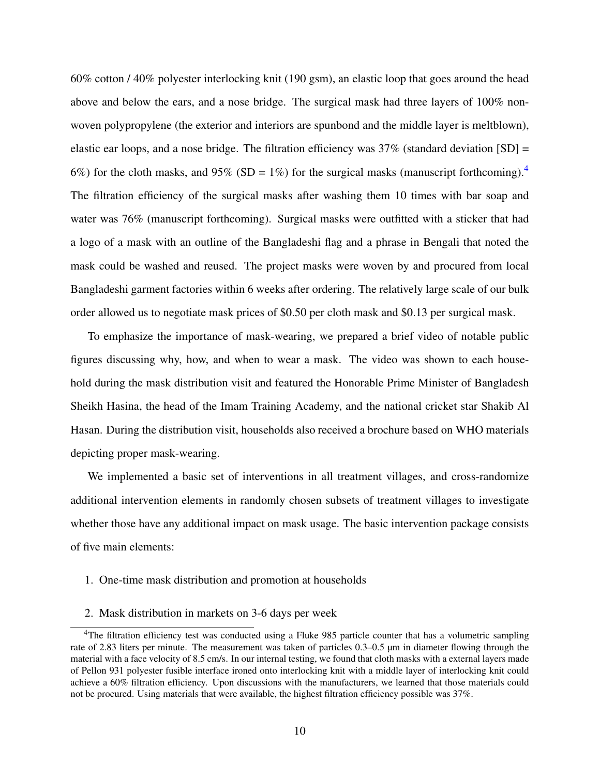60% cotton / 40% polyester interlocking knit (190 gsm), an elastic loop that goes around the head above and below the ears, and a nose bridge. The surgical mask had three layers of 100% nonwoven polypropylene (the exterior and interiors are spunbond and the middle layer is meltblown), elastic ear loops, and a nose bridge. The filtration efficiency was  $37\%$  (standard deviation [SD] = 6%) for the cloth masks, and 95% (SD = 1%) for the surgical masks (manuscript forthcoming).<sup>[4](#page-11-0)</sup> The filtration efficiency of the surgical masks after washing them 10 times with bar soap and water was 76% (manuscript forthcoming). Surgical masks were outfitted with a sticker that had a logo of a mask with an outline of the Bangladeshi flag and a phrase in Bengali that noted the mask could be washed and reused. The project masks were woven by and procured from local Bangladeshi garment factories within 6 weeks after ordering. The relatively large scale of our bulk order allowed us to negotiate mask prices of \$0.50 per cloth mask and \$0.13 per surgical mask.

To emphasize the importance of mask-wearing, we prepared a brief video of notable public figures discussing why, how, and when to wear a mask. The video was shown to each household during the mask distribution visit and featured the Honorable Prime Minister of Bangladesh Sheikh Hasina, the head of the Imam Training Academy, and the national cricket star Shakib Al Hasan. During the distribution visit, households also received a brochure based on WHO materials depicting proper mask-wearing.

We implemented a basic set of interventions in all treatment villages, and cross-randomize additional intervention elements in randomly chosen subsets of treatment villages to investigate whether those have any additional impact on mask usage. The basic intervention package consists of five main elements:

- 1. One-time mask distribution and promotion at households
- 2. Mask distribution in markets on 3-6 days per week

<span id="page-11-0"></span><sup>&</sup>lt;sup>4</sup>The filtration efficiency test was conducted using a Fluke 985 particle counter that has a volumetric sampling rate of 2.83 liters per minute. The measurement was taken of particles 0.3–0.5 µm in diameter flowing through the material with a face velocity of 8.5 cm/s. In our internal testing, we found that cloth masks with a external layers made of Pellon 931 polyester fusible interface ironed onto interlocking knit with a middle layer of interlocking knit could achieve a 60% filtration efficiency. Upon discussions with the manufacturers, we learned that those materials could not be procured. Using materials that were available, the highest filtration efficiency possible was 37%.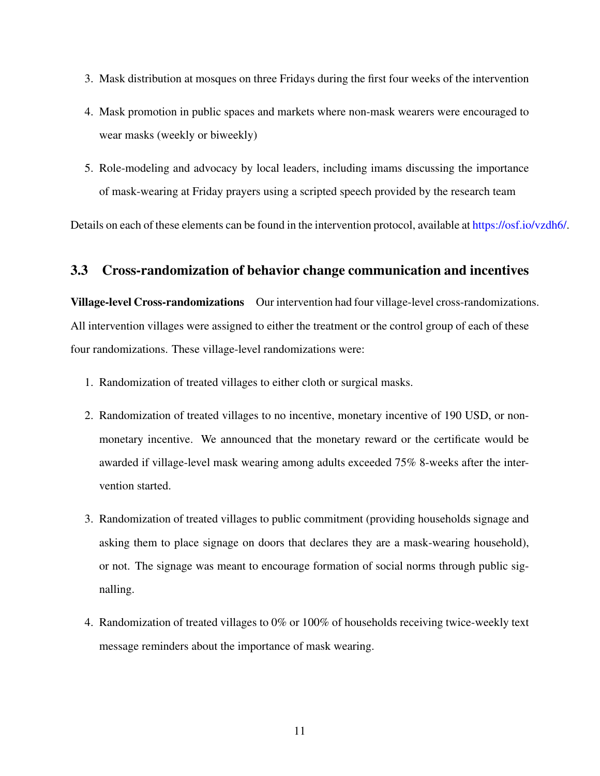- 3. Mask distribution at mosques on three Fridays during the first four weeks of the intervention
- 4. Mask promotion in public spaces and markets where non-mask wearers were encouraged to wear masks (weekly or biweekly)
- 5. Role-modeling and advocacy by local leaders, including imams discussing the importance of mask-wearing at Friday prayers using a scripted speech provided by the research team

Details on each of these elements can be found in the intervention protocol, available at [https://osf.io/vzdh6/.](https://osf.io/vzdh6/)

## 3.3 Cross-randomization of behavior change communication and incentives

<span id="page-12-0"></span>Village-level Cross-randomizations Our intervention had four village-level cross-randomizations. All intervention villages were assigned to either the treatment or the control group of each of these four randomizations. These village-level randomizations were:

- 1. Randomization of treated villages to either cloth or surgical masks.
- 2. Randomization of treated villages to no incentive, monetary incentive of 190 USD, or nonmonetary incentive. We announced that the monetary reward or the certificate would be awarded if village-level mask wearing among adults exceeded 75% 8-weeks after the intervention started.
- 3. Randomization of treated villages to public commitment (providing households signage and asking them to place signage on doors that declares they are a mask-wearing household), or not. The signage was meant to encourage formation of social norms through public signalling.
- 4. Randomization of treated villages to 0% or 100% of households receiving twice-weekly text message reminders about the importance of mask wearing.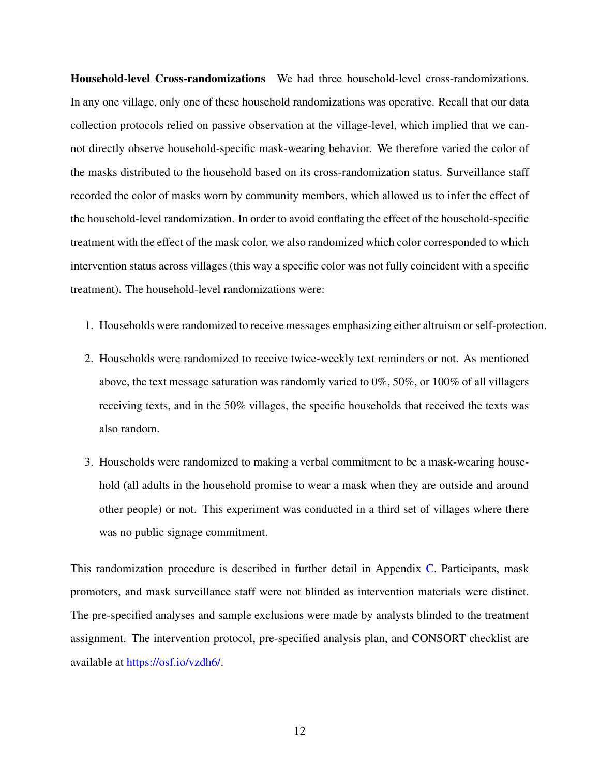<span id="page-13-0"></span>Household-level Cross-randomizations We had three household-level cross-randomizations. In any one village, only one of these household randomizations was operative. Recall that our data collection protocols relied on passive observation at the village-level, which implied that we cannot directly observe household-specific mask-wearing behavior. We therefore varied the color of the masks distributed to the household based on its cross-randomization status. Surveillance staff recorded the color of masks worn by community members, which allowed us to infer the effect of the household-level randomization. In order to avoid conflating the effect of the household-specific treatment with the effect of the mask color, we also randomized which color corresponded to which intervention status across villages (this way a specific color was not fully coincident with a specific treatment). The household-level randomizations were:

- 1. Households were randomized to receive messages emphasizing either altruism or self-protection.
- 2. Households were randomized to receive twice-weekly text reminders or not. As mentioned above, the text message saturation was randomly varied to 0%, 50%, or 100% of all villagers receiving texts, and in the 50% villages, the specific households that received the texts was also random.
- 3. Households were randomized to making a verbal commitment to be a mask-wearing household (all adults in the household promise to wear a mask when they are outside and around other people) or not. This experiment was conducted in a third set of villages where there was no public signage commitment.

This randomization procedure is described in further detail in Appendix [C.](#page-45-1) Participants, mask promoters, and mask surveillance staff were not blinded as intervention materials were distinct. The pre-specified analyses and sample exclusions were made by analysts blinded to the treatment assignment. The intervention protocol, pre-specified analysis plan, and CONSORT checklist are available at [https://osf.io/vzdh6/.](https://osf.io/vzdh6/)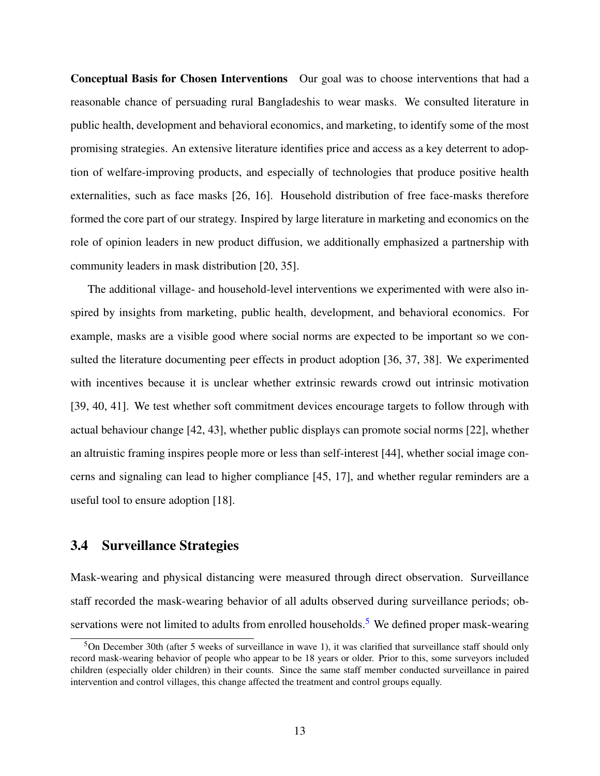Conceptual Basis for Chosen Interventions Our goal was to choose interventions that had a reasonable chance of persuading rural Bangladeshis to wear masks. We consulted literature in public health, development and behavioral economics, and marketing, to identify some of the most promising strategies. An extensive literature identifies price and access as a key deterrent to adoption of welfare-improving products, and especially of technologies that produce positive health externalities, such as face masks [\[26,](#page-31-10) [16\]](#page-31-0). Household distribution of free face-masks therefore formed the core part of our strategy. Inspired by large literature in marketing and economics on the role of opinion leaders in new product diffusion, we additionally emphasized a partnership with community leaders in mask distribution [\[20,](#page-31-4) [35\]](#page-32-4).

The additional village- and household-level interventions we experimented with were also inspired by insights from marketing, public health, development, and behavioral economics. For example, masks are a visible good where social norms are expected to be important so we consulted the literature documenting peer effects in product adoption [\[36,](#page-32-5) [37,](#page-32-6) [38\]](#page-32-7). We experimented with incentives because it is unclear whether extrinsic rewards crowd out intrinsic motivation [\[39,](#page-32-8) [40,](#page-32-9) [41\]](#page-32-10). We test whether soft commitment devices encourage targets to follow through with actual behaviour change [\[42,](#page-32-11) [43\]](#page-32-12), whether public displays can promote social norms [\[22\]](#page-31-6), whether an altruistic framing inspires people more or less than self-interest [\[44\]](#page-32-13), whether social image concerns and signaling can lead to higher compliance [\[45,](#page-32-14) [17\]](#page-31-1), and whether regular reminders are a useful tool to ensure adoption [\[18\]](#page-31-2).

### 3.4 Surveillance Strategies

Mask-wearing and physical distancing were measured through direct observation. Surveillance staff recorded the mask-wearing behavior of all adults observed during surveillance periods; ob-servations were not limited to adults from enrolled households.<sup>[5](#page-14-0)</sup> We defined proper mask-wearing

<span id="page-14-0"></span> $5$ On December 30th (after 5 weeks of surveillance in wave 1), it was clarified that surveillance staff should only record mask-wearing behavior of people who appear to be 18 years or older. Prior to this, some surveyors included children (especially older children) in their counts. Since the same staff member conducted surveillance in paired intervention and control villages, this change affected the treatment and control groups equally.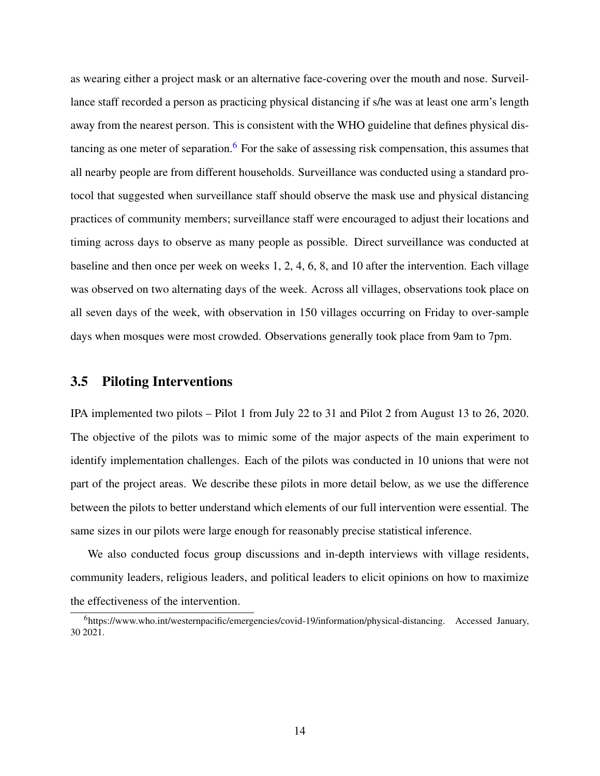as wearing either a project mask or an alternative face-covering over the mouth and nose. Surveillance staff recorded a person as practicing physical distancing if s/he was at least one arm's length away from the nearest person. This is consistent with the WHO guideline that defines physical dis-tancing as one meter of separation.<sup>[6](#page-15-0)</sup> For the sake of assessing risk compensation, this assumes that all nearby people are from different households. Surveillance was conducted using a standard protocol that suggested when surveillance staff should observe the mask use and physical distancing practices of community members; surveillance staff were encouraged to adjust their locations and timing across days to observe as many people as possible. Direct surveillance was conducted at baseline and then once per week on weeks 1, 2, 4, 6, 8, and 10 after the intervention. Each village was observed on two alternating days of the week. Across all villages, observations took place on all seven days of the week, with observation in 150 villages occurring on Friday to over-sample days when mosques were most crowded. Observations generally took place from 9am to 7pm.

### 3.5 Piloting Interventions

IPA implemented two pilots – Pilot 1 from July 22 to 31 and Pilot 2 from August 13 to 26, 2020. The objective of the pilots was to mimic some of the major aspects of the main experiment to identify implementation challenges. Each of the pilots was conducted in 10 unions that were not part of the project areas. We describe these pilots in more detail below, as we use the difference between the pilots to better understand which elements of our full intervention were essential. The same sizes in our pilots were large enough for reasonably precise statistical inference.

We also conducted focus group discussions and in-depth interviews with village residents, community leaders, religious leaders, and political leaders to elicit opinions on how to maximize the effectiveness of the intervention.

<span id="page-15-0"></span><sup>6</sup>https://www.who.int/westernpacific/emergencies/covid-19/information/physical-distancing. Accessed January, 30 2021.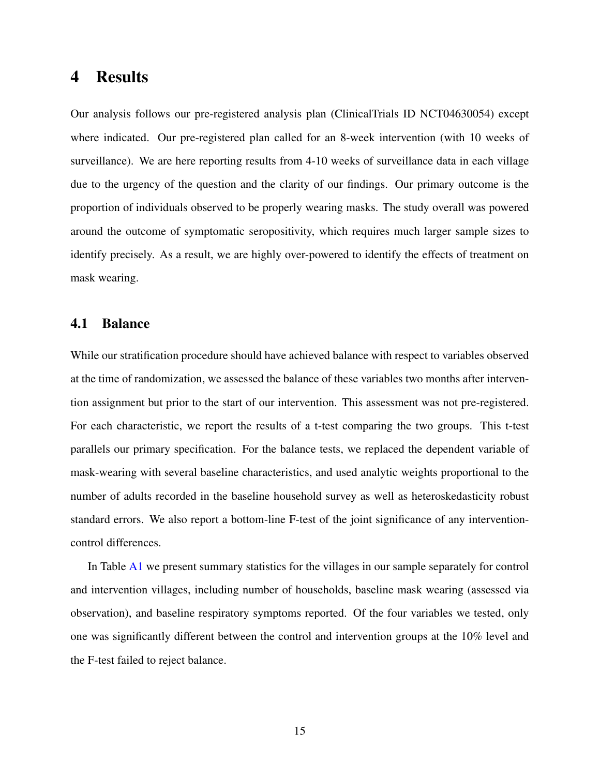# 4 Results

Our analysis follows our pre-registered analysis plan (ClinicalTrials ID NCT04630054) except where indicated. Our pre-registered plan called for an 8-week intervention (with 10 weeks of surveillance). We are here reporting results from 4-10 weeks of surveillance data in each village due to the urgency of the question and the clarity of our findings. Our primary outcome is the proportion of individuals observed to be properly wearing masks. The study overall was powered around the outcome of symptomatic seropositivity, which requires much larger sample sizes to identify precisely. As a result, we are highly over-powered to identify the effects of treatment on mask wearing.

### 4.1 Balance

While our stratification procedure should have achieved balance with respect to variables observed at the time of randomization, we assessed the balance of these variables two months after intervention assignment but prior to the start of our intervention. This assessment was not pre-registered. For each characteristic, we report the results of a t-test comparing the two groups. This t-test parallels our primary specification. For the balance tests, we replaced the dependent variable of mask-wearing with several baseline characteristics, and used analytic weights proportional to the number of adults recorded in the baseline household survey as well as heteroskedasticity robust standard errors. We also report a bottom-line F-test of the joint significance of any interventioncontrol differences.

In Table [A1](#page-38-0) we present summary statistics for the villages in our sample separately for control and intervention villages, including number of households, baseline mask wearing (assessed via observation), and baseline respiratory symptoms reported. Of the four variables we tested, only one was significantly different between the control and intervention groups at the 10% level and the F-test failed to reject balance.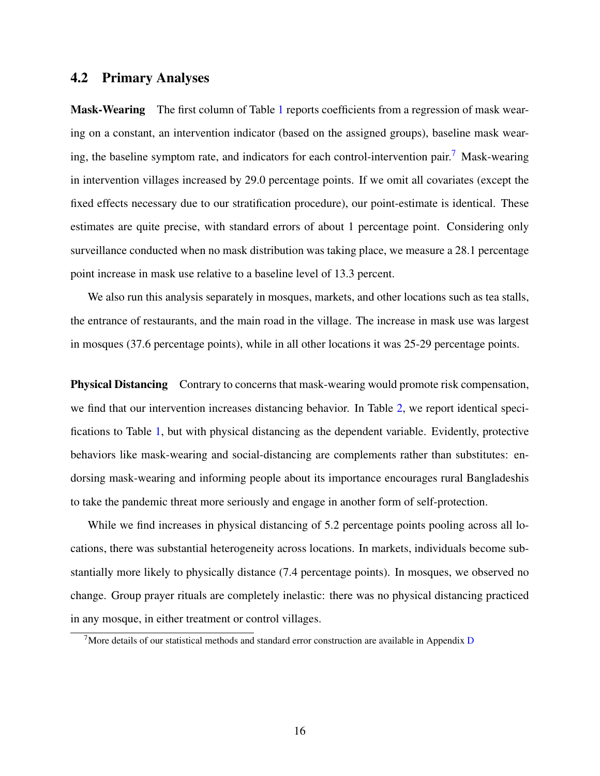## 4.2 Primary Analyses

Mask-Wearing The first column of Table [1](#page-18-0) reports coefficients from a regression of mask wearing on a constant, an intervention indicator (based on the assigned groups), baseline mask wear-ing, the baseline symptom rate, and indicators for each control-intervention pair.<sup>[7](#page-17-0)</sup> Mask-wearing in intervention villages increased by 29.0 percentage points. If we omit all covariates (except the fixed effects necessary due to our stratification procedure), our point-estimate is identical. These estimates are quite precise, with standard errors of about 1 percentage point. Considering only surveillance conducted when no mask distribution was taking place, we measure a 28.1 percentage point increase in mask use relative to a baseline level of 13.3 percent.

We also run this analysis separately in mosques, markets, and other locations such as tea stalls, the entrance of restaurants, and the main road in the village. The increase in mask use was largest in mosques (37.6 percentage points), while in all other locations it was 25-29 percentage points.

Physical Distancing Contrary to concerns that mask-wearing would promote risk compensation, we find that our intervention increases distancing behavior. In Table [2,](#page-19-0) we report identical specifications to Table [1,](#page-18-0) but with physical distancing as the dependent variable. Evidently, protective behaviors like mask-wearing and social-distancing are complements rather than substitutes: endorsing mask-wearing and informing people about its importance encourages rural Bangladeshis to take the pandemic threat more seriously and engage in another form of self-protection.

While we find increases in physical distancing of 5.2 percentage points pooling across all locations, there was substantial heterogeneity across locations. In markets, individuals become substantially more likely to physically distance (7.4 percentage points). In mosques, we observed no change. Group prayer rituals are completely inelastic: there was no physical distancing practiced in any mosque, in either treatment or control villages.

<span id="page-17-0"></span><sup>&</sup>lt;sup>7</sup>More details of our statistical methods and standard error construction are available in Appendix  $D$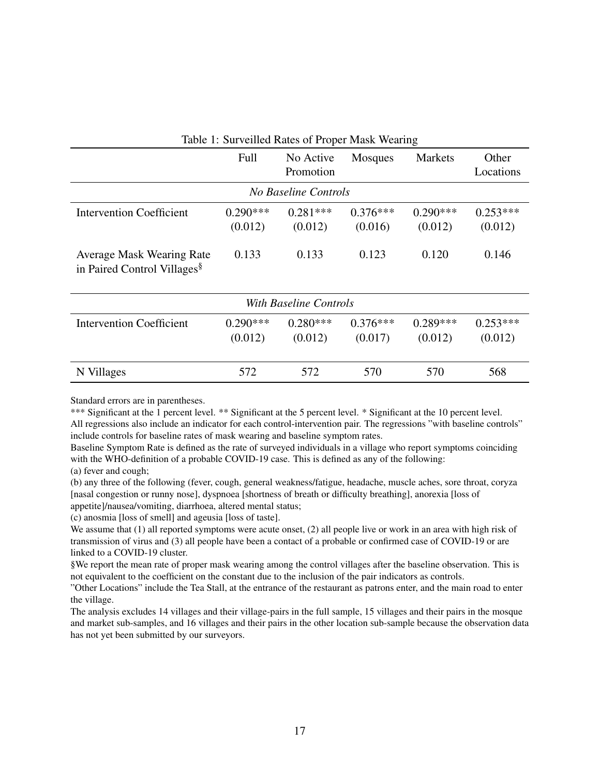<span id="page-18-0"></span>

|                                                                             |                       | Table 1: Surveilled Rates of Proper Mask Wearing |                       |                       |                       |  |  |  |  |
|-----------------------------------------------------------------------------|-----------------------|--------------------------------------------------|-----------------------|-----------------------|-----------------------|--|--|--|--|
|                                                                             | Full                  | No Active<br>Promotion                           | Mosques               | Markets               | Other<br>Locations    |  |  |  |  |
|                                                                             |                       | No Baseline Controls                             |                       |                       |                       |  |  |  |  |
| <b>Intervention Coefficient</b>                                             | $0.290***$<br>(0.012) | $0.281***$<br>(0.012)                            | $0.376***$<br>(0.016) | $0.290***$<br>(0.012) | $0.253***$<br>(0.012) |  |  |  |  |
| <b>Average Mask Wearing Rate</b><br>in Paired Control Villages <sup>§</sup> | 0.133                 | 0.133                                            | 0.123                 | 0.120                 | 0.146                 |  |  |  |  |
| With Baseline Controls                                                      |                       |                                                  |                       |                       |                       |  |  |  |  |
| <b>Intervention Coefficient</b>                                             | $0.290***$<br>(0.012) | $0.280***$<br>(0.012)                            | $0.376***$<br>(0.017) | $0.289***$<br>(0.012) | $0.253***$<br>(0.012) |  |  |  |  |
| N Villages                                                                  | 572                   | 572                                              | 570                   | 570                   | 568                   |  |  |  |  |

Standard errors are in parentheses.

\*\*\* Significant at the 1 percent level. \*\* Significant at the 5 percent level. \* Significant at the 10 percent level. All regressions also include an indicator for each control-intervention pair. The regressions "with baseline controls" include controls for baseline rates of mask wearing and baseline symptom rates.

Baseline Symptom Rate is defined as the rate of surveyed individuals in a village who report symptoms coinciding with the WHO-definition of a probable COVID-19 case. This is defined as any of the following:

(a) fever and cough;

(b) any three of the following (fever, cough, general weakness/fatigue, headache, muscle aches, sore throat, coryza [nasal congestion or runny nose], dyspnoea [shortness of breath or difficulty breathing], anorexia [loss of appetite]/nausea/vomiting, diarrhoea, altered mental status;

(c) anosmia [loss of smell] and ageusia [loss of taste].

We assume that (1) all reported symptoms were acute onset, (2) all people live or work in an area with high risk of transmission of virus and (3) all people have been a contact of a probable or confirmed case of COVID-19 or are linked to a COVID-19 cluster.

§We report the mean rate of proper mask wearing among the control villages after the baseline observation. This is not equivalent to the coefficient on the constant due to the inclusion of the pair indicators as controls.

"Other Locations" include the Tea Stall, at the entrance of the restaurant as patrons enter, and the main road to enter the village.

The analysis excludes 14 villages and their village-pairs in the full sample, 15 villages and their pairs in the mosque and market sub-samples, and 16 villages and their pairs in the other location sub-sample because the observation data has not yet been submitted by our surveyors.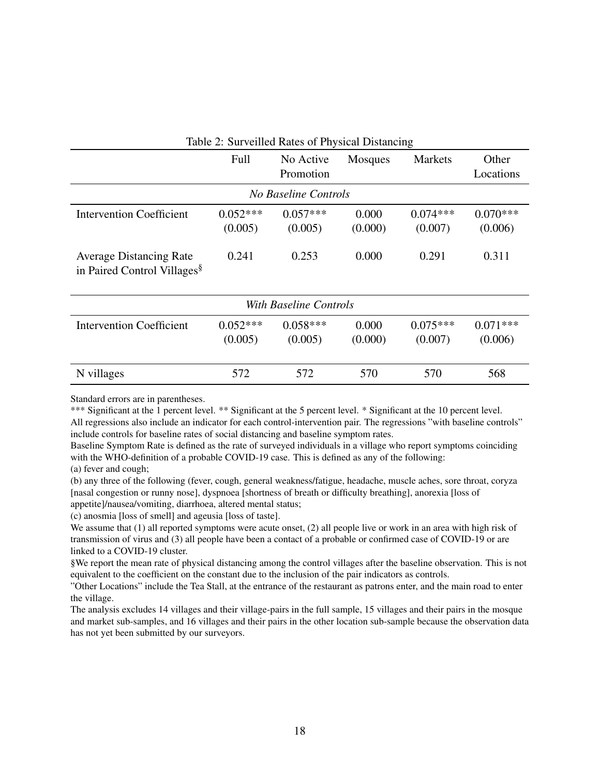<span id="page-19-0"></span>

|                                                                           |            | Table 2: Surveilled Rates of Physical Distancing |         |                |            |  |  |  |
|---------------------------------------------------------------------------|------------|--------------------------------------------------|---------|----------------|------------|--|--|--|
|                                                                           | Full       | No Active                                        | Mosques | <b>Markets</b> | Other      |  |  |  |
|                                                                           |            | Promotion                                        |         |                | Locations  |  |  |  |
|                                                                           |            | No Baseline Controls                             |         |                |            |  |  |  |
| <b>Intervention Coefficient</b>                                           | $0.052***$ | $0.057***$                                       | 0.000   | $0.074***$     | $0.070***$ |  |  |  |
|                                                                           | (0.005)    | (0.005)                                          | (0.000) | (0.007)        | (0.006)    |  |  |  |
|                                                                           |            |                                                  |         |                |            |  |  |  |
| <b>Average Distancing Rate</b><br>in Paired Control Villages <sup>§</sup> | 0.241      | 0.253                                            | 0.000   | 0.291          | 0.311      |  |  |  |
|                                                                           |            |                                                  |         |                |            |  |  |  |
|                                                                           |            | <b>With Baseline Controls</b>                    |         |                |            |  |  |  |
|                                                                           |            |                                                  |         |                |            |  |  |  |
| <b>Intervention Coefficient</b>                                           | $0.052***$ | $0.058***$                                       | 0.000   | $0.075***$     | $0.071***$ |  |  |  |
|                                                                           | (0.005)    | (0.005)                                          | (0.000) | (0.007)        | (0.006)    |  |  |  |
|                                                                           |            |                                                  |         |                |            |  |  |  |
| N villages                                                                | 572        | 572                                              | 570     | 570            | 568        |  |  |  |

Standard errors are in parentheses.

\*\*\* Significant at the 1 percent level. \*\* Significant at the 5 percent level. \* Significant at the 10 percent level. All regressions also include an indicator for each control-intervention pair. The regressions "with baseline controls" include controls for baseline rates of social distancing and baseline symptom rates.

Baseline Symptom Rate is defined as the rate of surveyed individuals in a village who report symptoms coinciding with the WHO-definition of a probable COVID-19 case. This is defined as any of the following:

(a) fever and cough;

(b) any three of the following (fever, cough, general weakness/fatigue, headache, muscle aches, sore throat, coryza [nasal congestion or runny nose], dyspnoea [shortness of breath or difficulty breathing], anorexia [loss of appetite]/nausea/vomiting, diarrhoea, altered mental status;

(c) anosmia [loss of smell] and ageusia [loss of taste].

We assume that (1) all reported symptoms were acute onset, (2) all people live or work in an area with high risk of transmission of virus and (3) all people have been a contact of a probable or confirmed case of COVID-19 or are linked to a COVID-19 cluster.

§We report the mean rate of physical distancing among the control villages after the baseline observation. This is not equivalent to the coefficient on the constant due to the inclusion of the pair indicators as controls.

"Other Locations" include the Tea Stall, at the entrance of the restaurant as patrons enter, and the main road to enter the village.

The analysis excludes 14 villages and their village-pairs in the full sample, 15 villages and their pairs in the mosque and market sub-samples, and 16 villages and their pairs in the other location sub-sample because the observation data has not yet been submitted by our surveyors.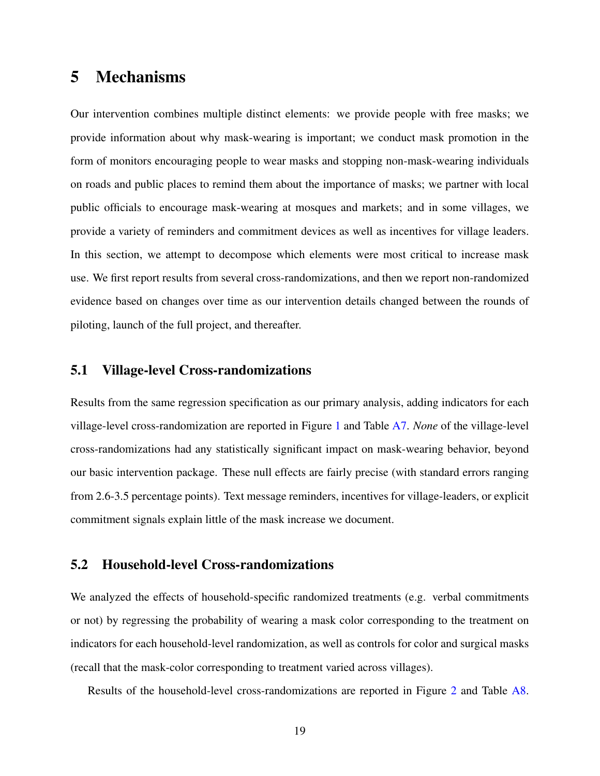# 5 Mechanisms

Our intervention combines multiple distinct elements: we provide people with free masks; we provide information about why mask-wearing is important; we conduct mask promotion in the form of monitors encouraging people to wear masks and stopping non-mask-wearing individuals on roads and public places to remind them about the importance of masks; we partner with local public officials to encourage mask-wearing at mosques and markets; and in some villages, we provide a variety of reminders and commitment devices as well as incentives for village leaders. In this section, we attempt to decompose which elements were most critical to increase mask use. We first report results from several cross-randomizations, and then we report non-randomized evidence based on changes over time as our intervention details changed between the rounds of piloting, launch of the full project, and thereafter.

### 5.1 Village-level Cross-randomizations

Results from the same regression specification as our primary analysis, adding indicators for each village-level cross-randomization are reported in Figure [1](#page-21-0) and Table [A7.](#page-43-0) *None* of the village-level cross-randomizations had any statistically significant impact on mask-wearing behavior, beyond our basic intervention package. These null effects are fairly precise (with standard errors ranging from 2.6-3.5 percentage points). Text message reminders, incentives for village-leaders, or explicit commitment signals explain little of the mask increase we document.

### 5.2 Household-level Cross-randomizations

We analyzed the effects of household-specific randomized treatments (e.g. verbal commitments or not) by regressing the probability of wearing a mask color corresponding to the treatment on indicators for each household-level randomization, as well as controls for color and surgical masks (recall that the mask-color corresponding to treatment varied across villages).

Results of the household-level cross-randomizations are reported in Figure [2](#page-23-0) and Table [A8.](#page-44-0)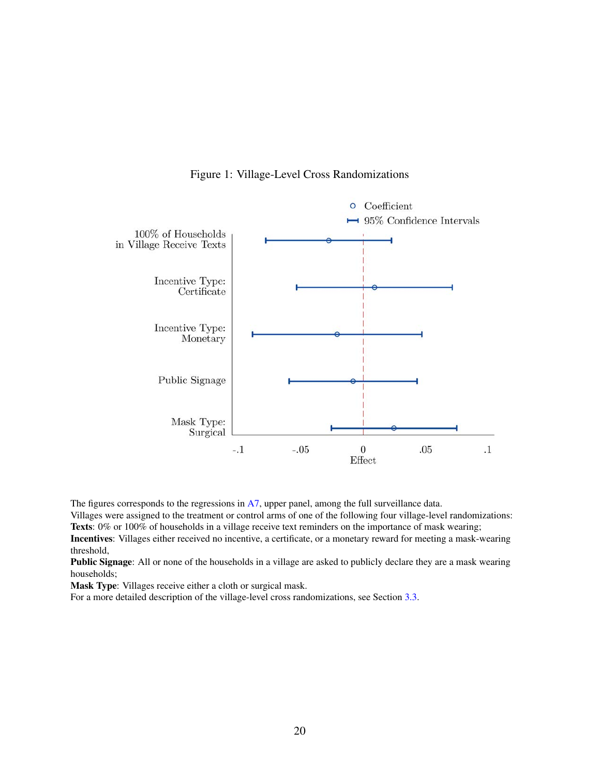

<span id="page-21-0"></span>Figure 1: Village-Level Cross Randomizations

The figures corresponds to the regressions in [A7,](#page-43-0) upper panel, among the full surveillance data.

Villages were assigned to the treatment or control arms of one of the following four village-level randomizations: Texts: 0% or 100% of households in a village receive text reminders on the importance of mask wearing;

Incentives: Villages either received no incentive, a certificate, or a monetary reward for meeting a mask-wearing threshold,

Public Signage: All or none of the households in a village are asked to publicly declare they are a mask wearing households;

Mask Type: Villages receive either a cloth or surgical mask.

For a more detailed description of the village-level cross randomizations, see Section [3.3.](#page-12-0)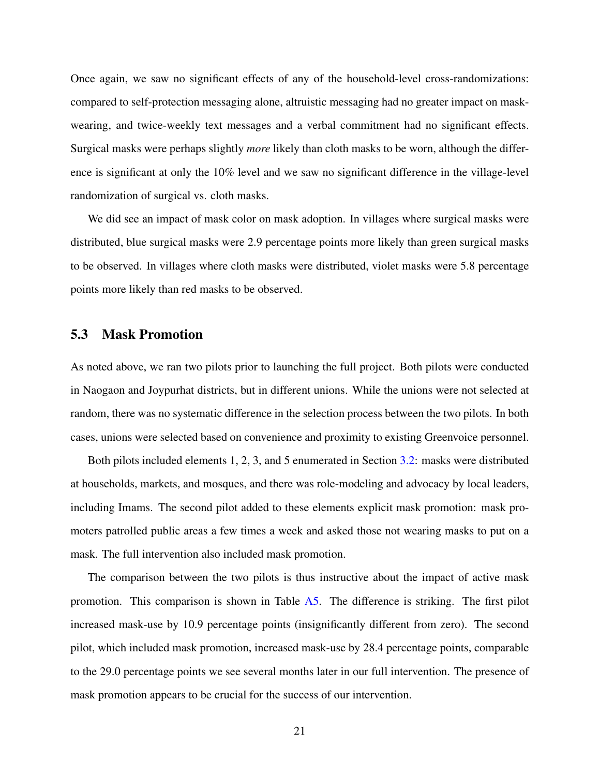Once again, we saw no significant effects of any of the household-level cross-randomizations: compared to self-protection messaging alone, altruistic messaging had no greater impact on maskwearing, and twice-weekly text messages and a verbal commitment had no significant effects. Surgical masks were perhaps slightly *more* likely than cloth masks to be worn, although the difference is significant at only the 10% level and we saw no significant difference in the village-level randomization of surgical vs. cloth masks.

We did see an impact of mask color on mask adoption. In villages where surgical masks were distributed, blue surgical masks were 2.9 percentage points more likely than green surgical masks to be observed. In villages where cloth masks were distributed, violet masks were 5.8 percentage points more likely than red masks to be observed.

### 5.3 Mask Promotion

As noted above, we ran two pilots prior to launching the full project. Both pilots were conducted in Naogaon and Joypurhat districts, but in different unions. While the unions were not selected at random, there was no systematic difference in the selection process between the two pilots. In both cases, unions were selected based on convenience and proximity to existing Greenvoice personnel.

Both pilots included elements 1, 2, 3, and 5 enumerated in Section [3.2:](#page-10-0) masks were distributed at households, markets, and mosques, and there was role-modeling and advocacy by local leaders, including Imams. The second pilot added to these elements explicit mask promotion: mask promoters patrolled public areas a few times a week and asked those not wearing masks to put on a mask. The full intervention also included mask promotion.

The comparison between the two pilots is thus instructive about the impact of active mask promotion. This comparison is shown in Table [A5.](#page-42-0) The difference is striking. The first pilot increased mask-use by 10.9 percentage points (insignificantly different from zero). The second pilot, which included mask promotion, increased mask-use by 28.4 percentage points, comparable to the 29.0 percentage points we see several months later in our full intervention. The presence of mask promotion appears to be crucial for the success of our intervention.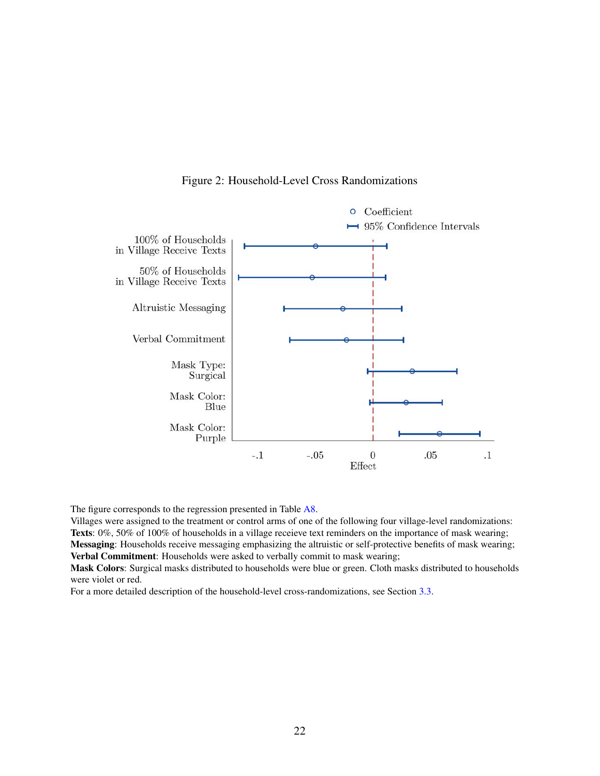

<span id="page-23-0"></span>Figure 2: Household-Level Cross Randomizations

The figure corresponds to the regression presented in Table [A8.](#page-44-0)

Villages were assigned to the treatment or control arms of one of the following four village-level randomizations: Texts: 0%, 50% of 100% of households in a village receieve text reminders on the importance of mask wearing; Messaging: Households receive messaging emphasizing the altruistic or self-protective benefits of mask wearing; Verbal Commitment: Households were asked to verbally commit to mask wearing;

Mask Colors: Surgical masks distributed to households were blue or green. Cloth masks distributed to households were violet or red.

For a more detailed description of the household-level cross-randomizations, see Section [3.3.](#page-13-0)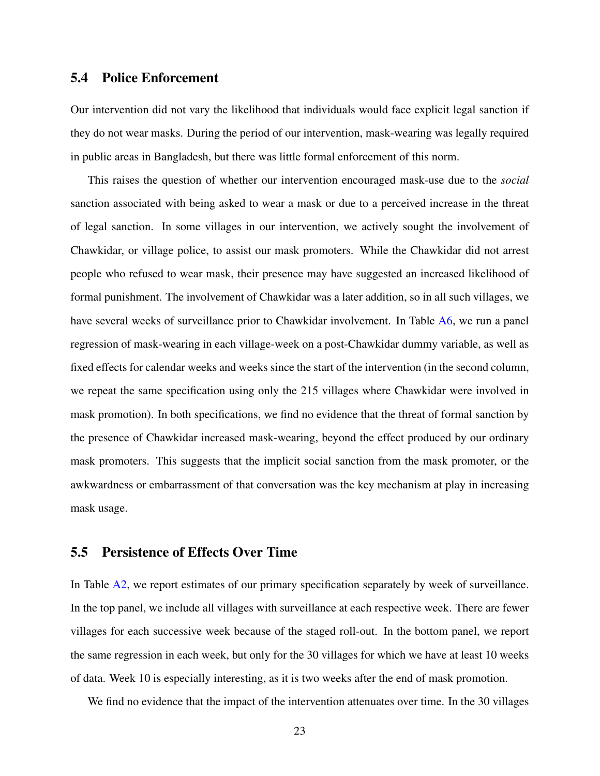### 5.4 Police Enforcement

Our intervention did not vary the likelihood that individuals would face explicit legal sanction if they do not wear masks. During the period of our intervention, mask-wearing was legally required in public areas in Bangladesh, but there was little formal enforcement of this norm.

This raises the question of whether our intervention encouraged mask-use due to the *social* sanction associated with being asked to wear a mask or due to a perceived increase in the threat of legal sanction. In some villages in our intervention, we actively sought the involvement of Chawkidar, or village police, to assist our mask promoters. While the Chawkidar did not arrest people who refused to wear mask, their presence may have suggested an increased likelihood of formal punishment. The involvement of Chawkidar was a later addition, so in all such villages, we have several weeks of surveillance prior to Chawkidar involvement. In Table [A6,](#page-42-1) we run a panel regression of mask-wearing in each village-week on a post-Chawkidar dummy variable, as well as fixed effects for calendar weeks and weeks since the start of the intervention (in the second column, we repeat the same specification using only the 215 villages where Chawkidar were involved in mask promotion). In both specifications, we find no evidence that the threat of formal sanction by the presence of Chawkidar increased mask-wearing, beyond the effect produced by our ordinary mask promoters. This suggests that the implicit social sanction from the mask promoter, or the awkwardness or embarrassment of that conversation was the key mechanism at play in increasing mask usage.

### 5.5 Persistence of Effects Over Time

In Table [A2,](#page-39-0) we report estimates of our primary specification separately by week of surveillance. In the top panel, we include all villages with surveillance at each respective week. There are fewer villages for each successive week because of the staged roll-out. In the bottom panel, we report the same regression in each week, but only for the 30 villages for which we have at least 10 weeks of data. Week 10 is especially interesting, as it is two weeks after the end of mask promotion.

We find no evidence that the impact of the intervention attenuates over time. In the 30 villages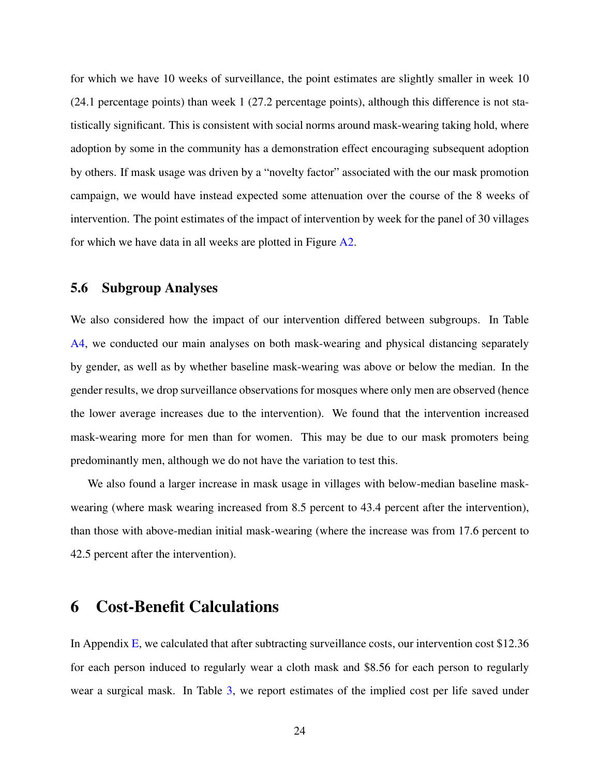for which we have 10 weeks of surveillance, the point estimates are slightly smaller in week 10 (24.1 percentage points) than week 1 (27.2 percentage points), although this difference is not statistically significant. This is consistent with social norms around mask-wearing taking hold, where adoption by some in the community has a demonstration effect encouraging subsequent adoption by others. If mask usage was driven by a "novelty factor" associated with the our mask promotion campaign, we would have instead expected some attenuation over the course of the 8 weeks of intervention. The point estimates of the impact of intervention by week for the panel of 30 villages for which we have data in all weeks are plotted in Figure  $A2$ .

### 5.6 Subgroup Analyses

We also considered how the impact of our intervention differed between subgroups. In Table [A4,](#page-41-0) we conducted our main analyses on both mask-wearing and physical distancing separately by gender, as well as by whether baseline mask-wearing was above or below the median. In the gender results, we drop surveillance observations for mosques where only men are observed (hence the lower average increases due to the intervention). We found that the intervention increased mask-wearing more for men than for women. This may be due to our mask promoters being predominantly men, although we do not have the variation to test this.

We also found a larger increase in mask usage in villages with below-median baseline maskwearing (where mask wearing increased from 8.5 percent to 43.4 percent after the intervention), than those with above-median initial mask-wearing (where the increase was from 17.6 percent to 42.5 percent after the intervention).

# 6 Cost-Benefit Calculations

In Appendix [E,](#page-49-0) we calculated that after subtracting surveillance costs, our intervention cost \$12.36 for each person induced to regularly wear a cloth mask and \$8.56 for each person to regularly wear a surgical mask. In Table [3,](#page-27-0) we report estimates of the implied cost per life saved under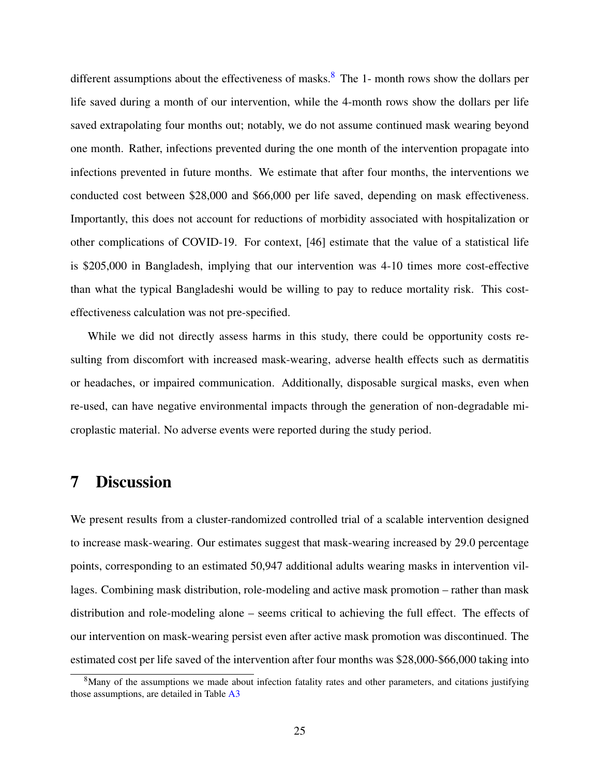different assumptions about the effectiveness of masks.<sup>[8](#page-26-0)</sup> The 1- month rows show the dollars per life saved during a month of our intervention, while the 4-month rows show the dollars per life saved extrapolating four months out; notably, we do not assume continued mask wearing beyond one month. Rather, infections prevented during the one month of the intervention propagate into infections prevented in future months. We estimate that after four months, the interventions we conducted cost between \$28,000 and \$66,000 per life saved, depending on mask effectiveness. Importantly, this does not account for reductions of morbidity associated with hospitalization or other complications of COVID-19. For context, [\[46\]](#page-32-15) estimate that the value of a statistical life is \$205,000 in Bangladesh, implying that our intervention was 4-10 times more cost-effective than what the typical Bangladeshi would be willing to pay to reduce mortality risk. This costeffectiveness calculation was not pre-specified.

While we did not directly assess harms in this study, there could be opportunity costs resulting from discomfort with increased mask-wearing, adverse health effects such as dermatitis or headaches, or impaired communication. Additionally, disposable surgical masks, even when re-used, can have negative environmental impacts through the generation of non-degradable microplastic material. No adverse events were reported during the study period.

# 7 Discussion

We present results from a cluster-randomized controlled trial of a scalable intervention designed to increase mask-wearing. Our estimates suggest that mask-wearing increased by 29.0 percentage points, corresponding to an estimated 50,947 additional adults wearing masks in intervention villages. Combining mask distribution, role-modeling and active mask promotion – rather than mask distribution and role-modeling alone – seems critical to achieving the full effect. The effects of our intervention on mask-wearing persist even after active mask promotion was discontinued. The estimated cost per life saved of the intervention after four months was \$28,000-\$66,000 taking into

<span id="page-26-0"></span><sup>&</sup>lt;sup>8</sup>Many of the assumptions we made about infection fatality rates and other parameters, and citations justifying those assumptions, are detailed in Table [A3](#page-40-0)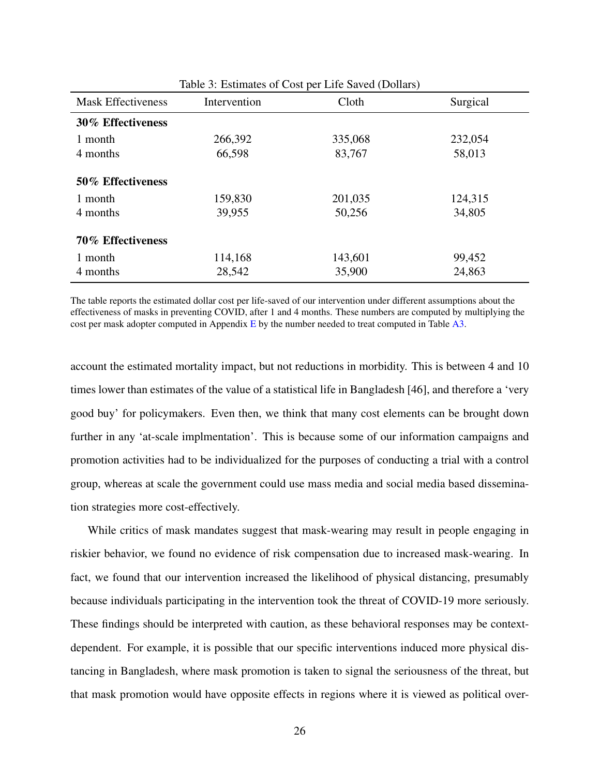<span id="page-27-0"></span>

|                              | Table 3: Estimates of Cost per Life Saved (Dollars) |         |          |
|------------------------------|-----------------------------------------------------|---------|----------|
| <b>Mask Effectiveness</b>    | Intervention                                        | Cloth   | Surgical |
| 30% Effectiveness            |                                                     |         |          |
| 1 month                      | 266,392                                             | 335,068 | 232,054  |
| 4 months                     | 66,598                                              | 83,767  | 58,013   |
| 50% Effectiveness<br>1 month | 159,830                                             | 201,035 | 124,315  |
| 4 months                     | 39,955                                              | 50,256  | 34,805   |
| 70% Effectiveness            |                                                     |         |          |
| 1 month                      | 114,168                                             | 143,601 | 99,452   |
| 4 months                     | 28,542                                              | 35,900  | 24,863   |

The table reports the estimated dollar cost per life-saved of our intervention under different assumptions about the effectiveness of masks in preventing COVID, after 1 and 4 months. These numbers are computed by multiplying the cost per mask adopter computed in Appendix [E](#page-49-0) by the number needed to treat computed in Table [A3.](#page-40-0)

account the estimated mortality impact, but not reductions in morbidity. This is between 4 and 10 times lower than estimates of the value of a statistical life in Bangladesh [\[46\]](#page-32-15), and therefore a 'very good buy' for policymakers. Even then, we think that many cost elements can be brought down further in any 'at-scale implmentation'. This is because some of our information campaigns and promotion activities had to be individualized for the purposes of conducting a trial with a control group, whereas at scale the government could use mass media and social media based dissemination strategies more cost-effectively.

While critics of mask mandates suggest that mask-wearing may result in people engaging in riskier behavior, we found no evidence of risk compensation due to increased mask-wearing. In fact, we found that our intervention increased the likelihood of physical distancing, presumably because individuals participating in the intervention took the threat of COVID-19 more seriously. These findings should be interpreted with caution, as these behavioral responses may be contextdependent. For example, it is possible that our specific interventions induced more physical distancing in Bangladesh, where mask promotion is taken to signal the seriousness of the threat, but that mask promotion would have opposite effects in regions where it is viewed as political over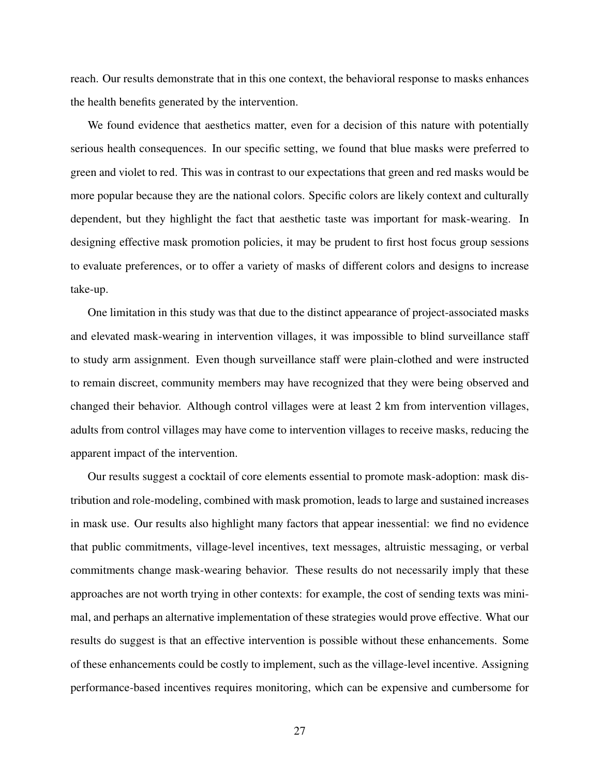reach. Our results demonstrate that in this one context, the behavioral response to masks enhances the health benefits generated by the intervention.

We found evidence that aesthetics matter, even for a decision of this nature with potentially serious health consequences. In our specific setting, we found that blue masks were preferred to green and violet to red. This was in contrast to our expectations that green and red masks would be more popular because they are the national colors. Specific colors are likely context and culturally dependent, but they highlight the fact that aesthetic taste was important for mask-wearing. In designing effective mask promotion policies, it may be prudent to first host focus group sessions to evaluate preferences, or to offer a variety of masks of different colors and designs to increase take-up.

One limitation in this study was that due to the distinct appearance of project-associated masks and elevated mask-wearing in intervention villages, it was impossible to blind surveillance staff to study arm assignment. Even though surveillance staff were plain-clothed and were instructed to remain discreet, community members may have recognized that they were being observed and changed their behavior. Although control villages were at least 2 km from intervention villages, adults from control villages may have come to intervention villages to receive masks, reducing the apparent impact of the intervention.

Our results suggest a cocktail of core elements essential to promote mask-adoption: mask distribution and role-modeling, combined with mask promotion, leads to large and sustained increases in mask use. Our results also highlight many factors that appear inessential: we find no evidence that public commitments, village-level incentives, text messages, altruistic messaging, or verbal commitments change mask-wearing behavior. These results do not necessarily imply that these approaches are not worth trying in other contexts: for example, the cost of sending texts was minimal, and perhaps an alternative implementation of these strategies would prove effective. What our results do suggest is that an effective intervention is possible without these enhancements. Some of these enhancements could be costly to implement, such as the village-level incentive. Assigning performance-based incentives requires monitoring, which can be expensive and cumbersome for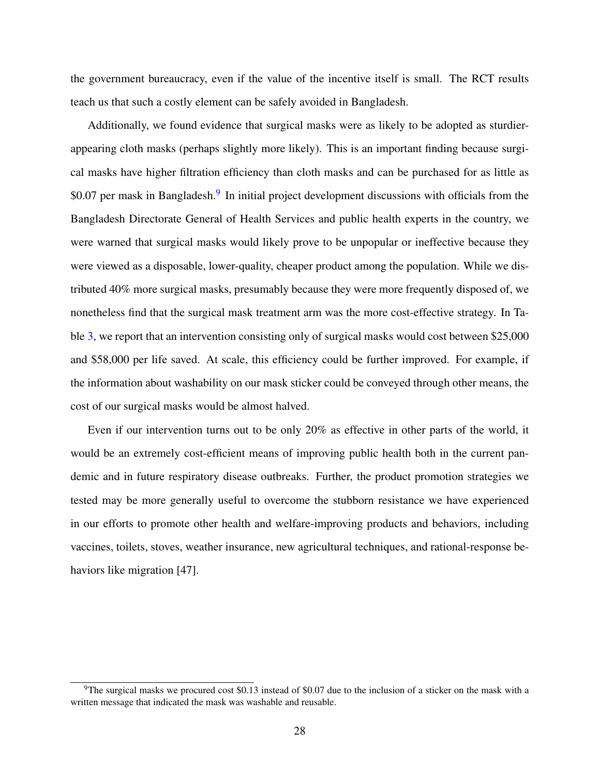the government bureaucracy, even if the value of the incentive itself is small. The RCT results teach us that such a costly element can be safely avoided in Bangladesh.

Additionally, we found evidence that surgical masks were as likely to be adopted as sturdierappearing cloth masks (perhaps slightly more likely). This is an important finding because surgical masks have higher filtration efficiency than cloth masks and can be purchased for as little as \$0.07 per mask in Bangladesh.<sup>[9](#page-29-0)</sup> In initial project development discussions with officials from the Bangladesh Directorate General of Health Services and public health experts in the country, we were warned that surgical masks would likely prove to be unpopular or ineffective because they were viewed as a disposable, lower-quality, cheaper product among the population. While we distributed 40% more surgical masks, presumably because they were more frequently disposed of, we nonetheless find that the surgical mask treatment arm was the more cost-effective strategy. In Table [3,](#page-27-0) we report that an intervention consisting only of surgical masks would cost between \$25,000 and \$58,000 per life saved. At scale, this efficiency could be further improved. For example, if the information about washability on our mask sticker could be conveyed through other means, the cost of our surgical masks would be almost halved.

Even if our intervention turns out to be only 20% as effective in other parts of the world, it would be an extremely cost-efficient means of improving public health both in the current pandemic and in future respiratory disease outbreaks. Further, the product promotion strategies we tested may be more generally useful to overcome the stubborn resistance we have experienced in our efforts to promote other health and welfare-improving products and behaviors, including vaccines, toilets, stoves, weather insurance, new agricultural techniques, and rational-response behaviors like migration [\[47\]](#page-32-16).

<span id="page-29-0"></span> $9$ The surgical masks we procured cost \$0.13 instead of \$0.07 due to the inclusion of a sticker on the mask with a written message that indicated the mask was washable and reusable.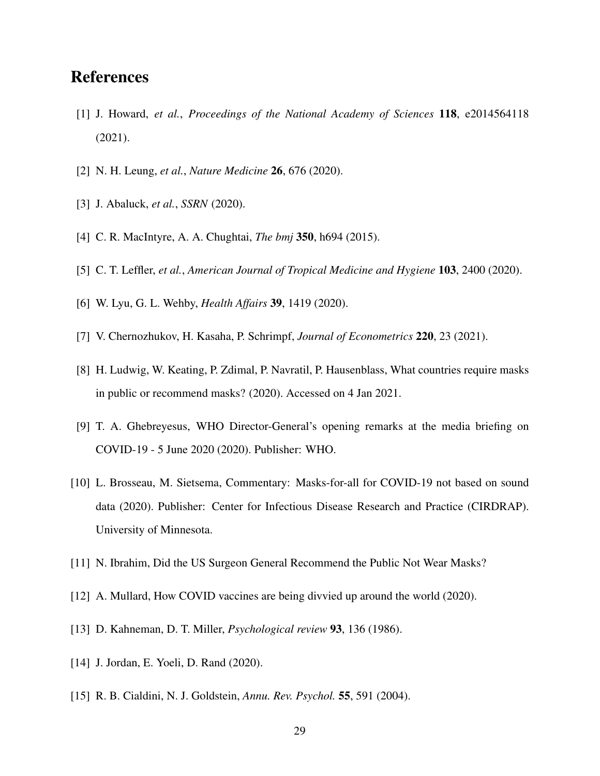# References

- <span id="page-30-0"></span>[1] J. Howard, *et al.*, *Proceedings of the National Academy of Sciences* 118, e2014564118 (2021).
- <span id="page-30-2"></span><span id="page-30-1"></span>[2] N. H. Leung, *et al.*, *Nature Medicine* 26, 676 (2020).
- <span id="page-30-3"></span>[3] J. Abaluck, *et al.*, *SSRN* (2020).
- <span id="page-30-4"></span>[4] C. R. MacIntyre, A. A. Chughtai, *The bmj* 350, h694 (2015).
- <span id="page-30-5"></span>[5] C. T. Leffler, *et al.*, *American Journal of Tropical Medicine and Hygiene* 103, 2400 (2020).
- <span id="page-30-6"></span>[6] W. Lyu, G. L. Wehby, *Health Affairs* 39, 1419 (2020).
- <span id="page-30-7"></span>[7] V. Chernozhukov, H. Kasaha, P. Schrimpf, *Journal of Econometrics* 220, 23 (2021).
- [8] H. Ludwig, W. Keating, P. Zdimal, P. Navratil, P. Hausenblass, What countries require masks in public or recommend masks? (2020). Accessed on 4 Jan 2021.
- <span id="page-30-8"></span>[9] T. A. Ghebreyesus, WHO Director-General's opening remarks at the media briefing on COVID-19 - 5 June 2020 (2020). Publisher: WHO.
- <span id="page-30-9"></span>[10] L. Brosseau, M. Sietsema, Commentary: Masks-for-all for COVID-19 not based on sound data (2020). Publisher: Center for Infectious Disease Research and Practice (CIRDRAP). University of Minnesota.
- <span id="page-30-11"></span><span id="page-30-10"></span>[11] N. Ibrahim, Did the US Surgeon General Recommend the Public Not Wear Masks?
- <span id="page-30-12"></span>[12] A. Mullard, How COVID vaccines are being divvied up around the world (2020).
- <span id="page-30-13"></span>[13] D. Kahneman, D. T. Miller, *Psychological review* 93, 136 (1986).
- <span id="page-30-14"></span>[14] J. Jordan, E. Yoeli, D. Rand (2020).
- [15] R. B. Cialdini, N. J. Goldstein, *Annu. Rev. Psychol.* 55, 591 (2004).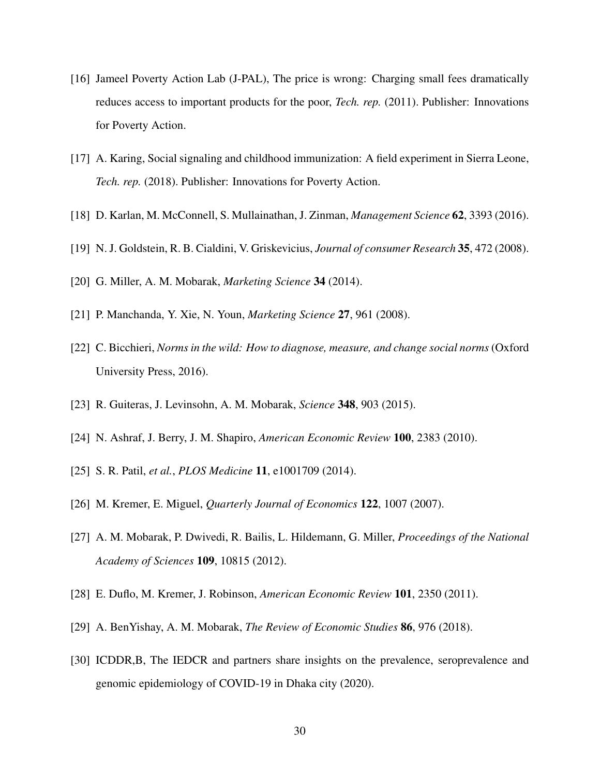- <span id="page-31-0"></span>[16] Jameel Poverty Action Lab (J-PAL), The price is wrong: Charging small fees dramatically reduces access to important products for the poor, *Tech. rep.* (2011). Publisher: Innovations for Poverty Action.
- <span id="page-31-1"></span>[17] A. Karing, Social signaling and childhood immunization: A field experiment in Sierra Leone, *Tech. rep.* (2018). Publisher: Innovations for Poverty Action.
- <span id="page-31-3"></span><span id="page-31-2"></span>[18] D. Karlan, M. McConnell, S. Mullainathan, J. Zinman, *Management Science* 62, 3393 (2016).
- <span id="page-31-4"></span>[19] N. J. Goldstein, R. B. Cialdini, V. Griskevicius, *Journal of consumer Research* 35, 472 (2008).
- <span id="page-31-5"></span>[20] G. Miller, A. M. Mobarak, *Marketing Science* 34 (2014).
- <span id="page-31-6"></span>[21] P. Manchanda, Y. Xie, N. Youn, *Marketing Science* 27, 961 (2008).
- [22] C. Bicchieri, *Norms in the wild: How to diagnose, measure, and change social norms* (Oxford University Press, 2016).
- <span id="page-31-8"></span><span id="page-31-7"></span>[23] R. Guiteras, J. Levinsohn, A. M. Mobarak, *Science* 348, 903 (2015).
- <span id="page-31-9"></span>[24] N. Ashraf, J. Berry, J. M. Shapiro, *American Economic Review* 100, 2383 (2010).
- <span id="page-31-10"></span>[25] S. R. Patil, *et al.*, *PLOS Medicine* 11, e1001709 (2014).
- <span id="page-31-11"></span>[26] M. Kremer, E. Miguel, *Quarterly Journal of Economics* 122, 1007 (2007).
- [27] A. M. Mobarak, P. Dwivedi, R. Bailis, L. Hildemann, G. Miller, *Proceedings of the National Academy of Sciences* 109, 10815 (2012).
- <span id="page-31-13"></span><span id="page-31-12"></span>[28] E. Duflo, M. Kremer, J. Robinson, *American Economic Review* 101, 2350 (2011).
- <span id="page-31-14"></span>[29] A. BenYishay, A. M. Mobarak, *The Review of Economic Studies* 86, 976 (2018).
- [30] ICDDR,B, The IEDCR and partners share insights on the prevalence, seroprevalence and genomic epidemiology of COVID-19 in Dhaka city (2020).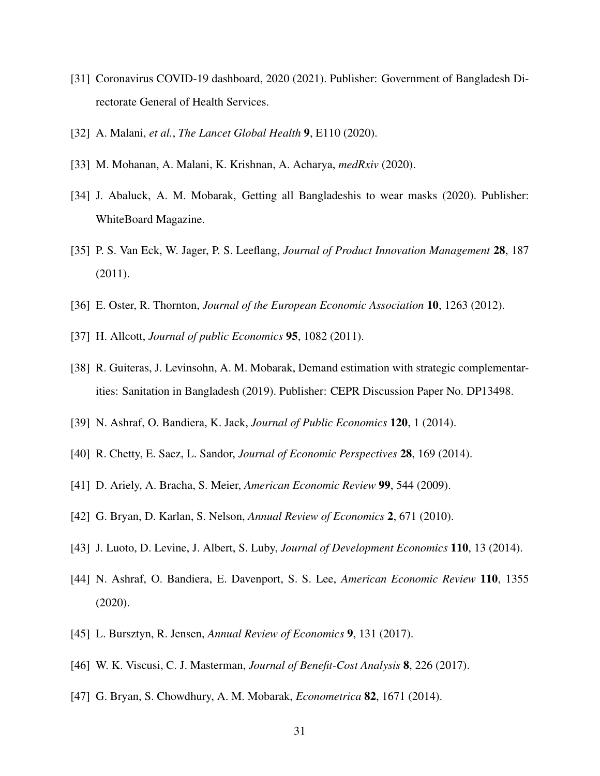- <span id="page-32-0"></span>[31] Coronavirus COVID-19 dashboard, 2020 (2021). Publisher: Government of Bangladesh Directorate General of Health Services.
- <span id="page-32-2"></span><span id="page-32-1"></span>[32] A. Malani, *et al.*, *The Lancet Global Health* 9, E110 (2020).
- <span id="page-32-3"></span>[33] M. Mohanan, A. Malani, K. Krishnan, A. Acharya, *medRxiv* (2020).
- [34] J. Abaluck, A. M. Mobarak, Getting all Bangladeshis to wear masks (2020). Publisher: WhiteBoard Magazine.
- <span id="page-32-4"></span>[35] P. S. Van Eck, W. Jager, P. S. Leeflang, *Journal of Product Innovation Management* 28, 187 (2011).
- <span id="page-32-6"></span><span id="page-32-5"></span>[36] E. Oster, R. Thornton, *Journal of the European Economic Association* 10, 1263 (2012).
- <span id="page-32-7"></span>[37] H. Allcott, *Journal of public Economics* 95, 1082 (2011).
- [38] R. Guiteras, J. Levinsohn, A. M. Mobarak, Demand estimation with strategic complementarities: Sanitation in Bangladesh (2019). Publisher: CEPR Discussion Paper No. DP13498.
- <span id="page-32-9"></span><span id="page-32-8"></span>[39] N. Ashraf, O. Bandiera, K. Jack, *Journal of Public Economics* 120, 1 (2014).
- <span id="page-32-10"></span>[40] R. Chetty, E. Saez, L. Sandor, *Journal of Economic Perspectives* 28, 169 (2014).
- <span id="page-32-11"></span>[41] D. Ariely, A. Bracha, S. Meier, *American Economic Review* 99, 544 (2009).
- <span id="page-32-12"></span>[42] G. Bryan, D. Karlan, S. Nelson, *Annual Review of Economics* 2, 671 (2010).
- <span id="page-32-13"></span>[43] J. Luoto, D. Levine, J. Albert, S. Luby, *Journal of Development Economics* 110, 13 (2014).
- [44] N. Ashraf, O. Bandiera, E. Davenport, S. S. Lee, *American Economic Review* 110, 1355 (2020).
- <span id="page-32-15"></span><span id="page-32-14"></span>[45] L. Bursztyn, R. Jensen, *Annual Review of Economics* 9, 131 (2017).
- <span id="page-32-16"></span>[46] W. K. Viscusi, C. J. Masterman, *Journal of Benefit-Cost Analysis* 8, 226 (2017).
- [47] G. Bryan, S. Chowdhury, A. M. Mobarak, *Econometrica* 82, 1671 (2014).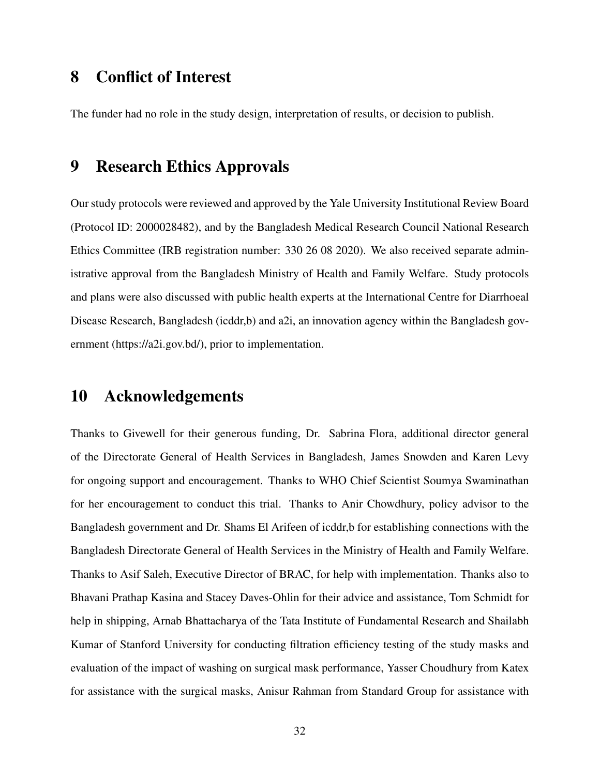# 8 Conflict of Interest

The funder had no role in the study design, interpretation of results, or decision to publish.

# 9 Research Ethics Approvals

Our study protocols were reviewed and approved by the Yale University Institutional Review Board (Protocol ID: 2000028482), and by the Bangladesh Medical Research Council National Research Ethics Committee (IRB registration number: 330 26 08 2020). We also received separate administrative approval from the Bangladesh Ministry of Health and Family Welfare. Study protocols and plans were also discussed with public health experts at the International Centre for Diarrhoeal Disease Research, Bangladesh (icddr,b) and a2i, an innovation agency within the Bangladesh government (https://a2i.gov.bd/), prior to implementation.

# 10 Acknowledgements

Thanks to Givewell for their generous funding, Dr. Sabrina Flora, additional director general of the Directorate General of Health Services in Bangladesh, James Snowden and Karen Levy for ongoing support and encouragement. Thanks to WHO Chief Scientist Soumya Swaminathan for her encouragement to conduct this trial. Thanks to Anir Chowdhury, policy advisor to the Bangladesh government and Dr. Shams El Arifeen of icddr,b for establishing connections with the Bangladesh Directorate General of Health Services in the Ministry of Health and Family Welfare. Thanks to Asif Saleh, Executive Director of BRAC, for help with implementation. Thanks also to Bhavani Prathap Kasina and Stacey Daves-Ohlin for their advice and assistance, Tom Schmidt for help in shipping, Arnab Bhattacharya of the Tata Institute of Fundamental Research and Shailabh Kumar of Stanford University for conducting filtration efficiency testing of the study masks and evaluation of the impact of washing on surgical mask performance, Yasser Choudhury from Katex for assistance with the surgical masks, Anisur Rahman from Standard Group for assistance with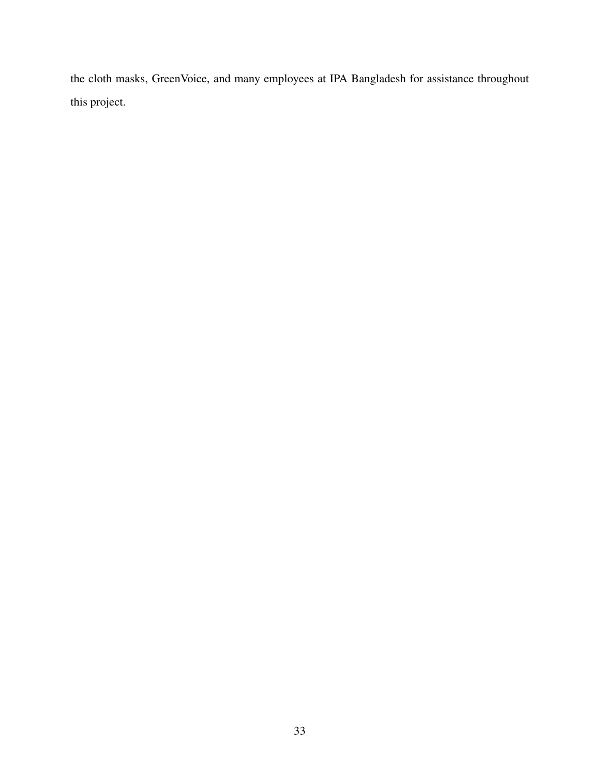the cloth masks, GreenVoice, and many employees at IPA Bangladesh for assistance throughout this project.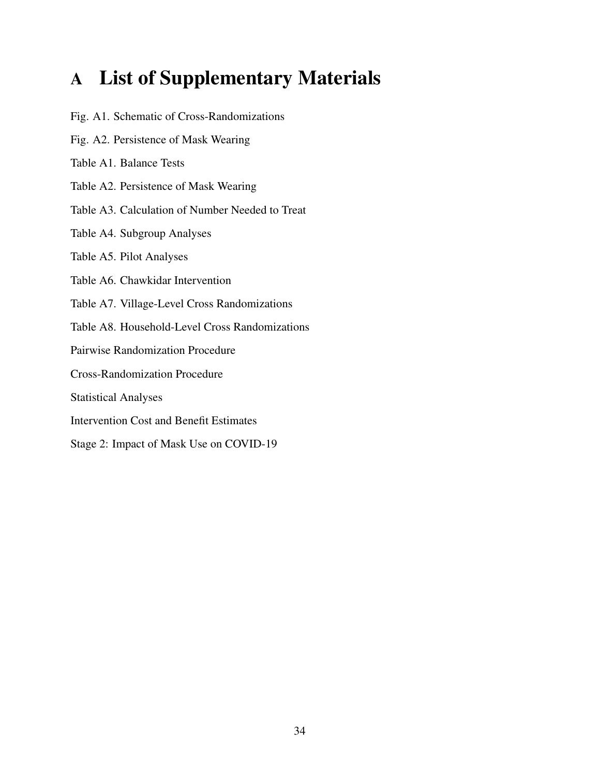# A List of Supplementary Materials

Fig. A1. Schematic of Cross-Randomizations Fig. A2. Persistence of Mask Wearing Table A1. Balance Tests Table A2. Persistence of Mask Wearing Table A3. Calculation of Number Needed to Treat Table A4. Subgroup Analyses Table A5. Pilot Analyses Table A6. Chawkidar Intervention Table A7. Village-Level Cross Randomizations Table A8. Household-Level Cross Randomizations Pairwise Randomization Procedure Cross-Randomization Procedure Statistical Analyses Intervention Cost and Benefit Estimates Stage 2: Impact of Mask Use on COVID-19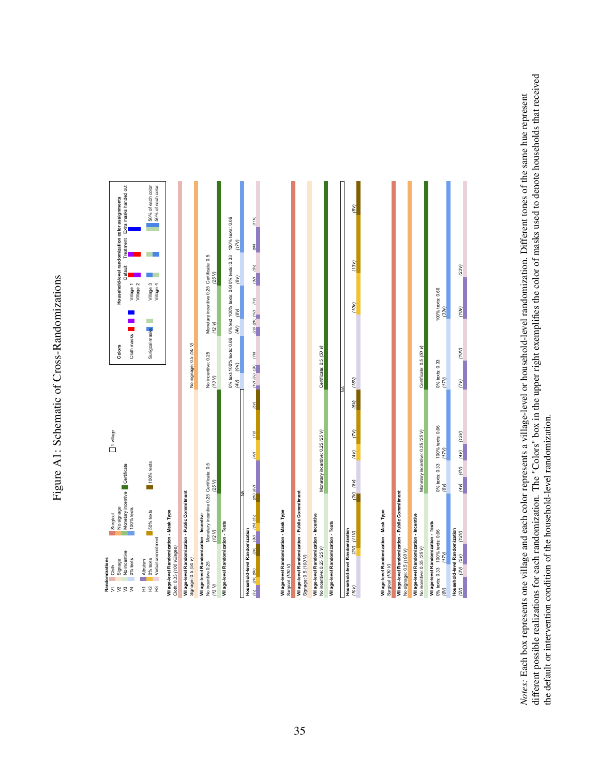# Figure A1: Schematic of Cross-Randomizations Figure A1: Schematic of Cross-Randomizations



| í       |
|---------|
| í       |
|         |
|         |
|         |
| í       |
| i,<br>١ |
|         |

| Surgical (100 V)                                                        |                |                                 |            |      |                         |       |       |      |
|-------------------------------------------------------------------------|----------------|---------------------------------|------------|------|-------------------------|-------|-------|------|
|                                                                         |                |                                 |            |      |                         |       |       |      |
| Village-level Randomization - Public Commitment<br>Signage: 0.5 (100 V) |                |                                 |            |      |                         |       |       |      |
|                                                                         |                |                                 |            |      |                         |       |       |      |
| Village-level Randomization - Incentive<br>No incentive: 0.25 (25 V)    |                | Monetary incentive: 0.25 (25 V) |            |      | Certificate: 0.5 (50 V) |       |       |      |
|                                                                         |                |                                 |            |      |                         |       |       |      |
| Village-level Randomization - Texts                                     |                |                                 |            |      |                         |       |       |      |
|                                                                         |                |                                 |            |      |                         |       |       |      |
| Household-level Randomization                                           |                |                                 |            |      |                         |       |       |      |
| (100)                                                                   | $(2V)$ $(11V)$ | $(2V)$ $(8V)$                   | $M \sim M$ | (5V) | (18V)                   | (100) | (13V) | (8V) |
|                                                                         |                |                                 |            |      |                         |       |       |      |
|                                                                         |                |                                 |            |      |                         |       |       |      |

| ٦ |  |
|---|--|
|   |  |
|   |  |
|   |  |

| Village-level Randomization - Mask Type | Village-level Randomization - Public Commitment | 11.21121.22121.0110 |
|-----------------------------------------|-------------------------------------------------|---------------------|
| Surgical (100 V)                        |                                                 |                     |

| o signage: 0.5 (100 V) | /illage-level Randomization - Incentive |
|------------------------|-----------------------------------------|
|                        |                                         |

| No incentive: 0.25 (25 V)           | Monetary incentive: 0.25 (2 |  |
|-------------------------------------|-----------------------------|--|
| Village-level Randomization - Texts |                             |  |

| No incentive: 0.25 (25 V)                         | Village-level Randomization - Incentive | Monetary incentive: 0.25 (25 V)         |       |  | Certificate: 0.5 (50 V)         |       |                          |       |
|---------------------------------------------------|-----------------------------------------|-----------------------------------------|-------|--|---------------------------------|-------|--------------------------|-------|
| 0% texts: 0.33 100% texts: 0.66<br>$(8V)$ $(17V)$ | Village-level Randomization - Texts     | 0% texts: 0.33 100% texts: 0.66<br>(8V) | (17V) |  | 0% texts: 0.33<br>$\frac{1}{2}$ |       | 100% texts: 0.66<br>(33) |       |
| $(5V)$ $(5V)$ $(5V)$ $(12V)$                      | Household-level Randomization           | (AEL) (AE) (AE) (AE)                    |       |  | ξ                               | (10V) | ωoι.                     | (23V) |

different possible realizations for each randomization. The "Colors" box in the upper right exemplifies the color of masks used to denote households that received *Notes:* Each box represents one village and each color represents a village-level or household-level randomization. Different tones of the same hue represent<br>different possible realizations for each randomization. The "Co Notes: Each box represents one village and each color represents a village-level or household-level randomization. Different tones of the same hue represent the default or intervention condition of the household-level randomization.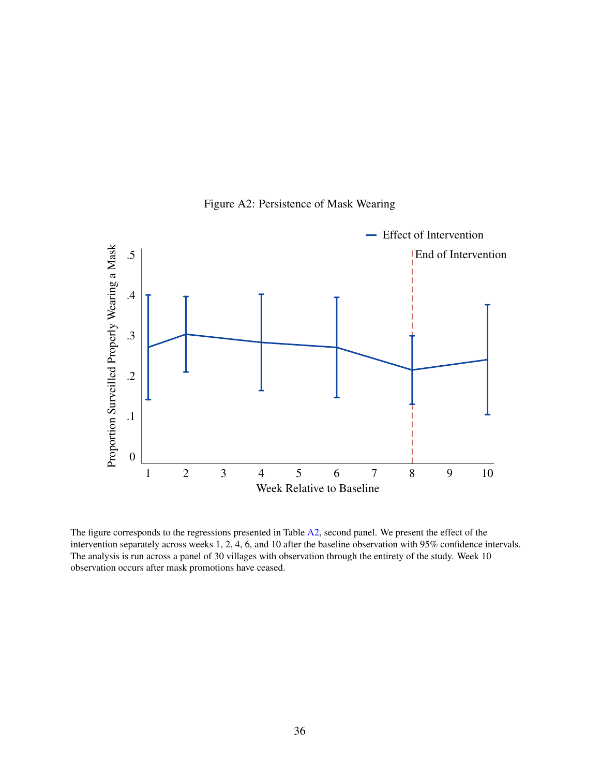

<span id="page-37-0"></span>Figure A2: Persistence of Mask Wearing

The figure corresponds to the regressions presented in Table [A2,](#page-39-0) second panel. We present the effect of the intervention separately across weeks 1, 2, 4, 6, and 10 after the baseline observation with 95% confidence intervals. The analysis is run across a panel of 30 villages with observation through the entirety of the study. Week 10 observation occurs after mask promotions have ceased.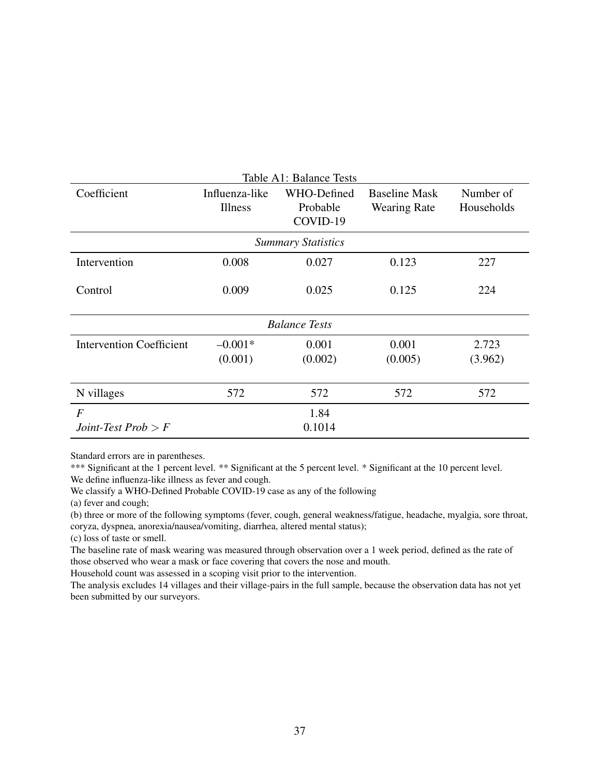<span id="page-38-0"></span>

|                                 |                                  | Table A1: Balance Tests             |                                             |                         |
|---------------------------------|----------------------------------|-------------------------------------|---------------------------------------------|-------------------------|
| Coefficient                     | Influenza-like<br><b>Illness</b> | WHO-Defined<br>Probable<br>COVID-19 | <b>Baseline Mask</b><br><b>Wearing Rate</b> | Number of<br>Households |
|                                 |                                  | <b>Summary Statistics</b>           |                                             |                         |
| Intervention                    | 0.008                            | 0.027                               | 0.123                                       | 227                     |
| Control                         | 0.009                            | 0.025                               | 0.125                                       | 224                     |
|                                 |                                  | <b>Balance Tests</b>                |                                             |                         |
| <b>Intervention Coefficient</b> | $-0.001*$<br>(0.001)             | 0.001<br>(0.002)                    | 0.001<br>(0.005)                            | 2.723<br>(3.962)        |
| N villages                      | 572                              | 572                                 | 572                                         | 572                     |
| $\boldsymbol{F}$                |                                  | 1.84                                |                                             |                         |
| Joint-Test $Prob > F$           |                                  | 0.1014                              |                                             |                         |

Standard errors are in parentheses.

\*\*\* Significant at the 1 percent level. \*\* Significant at the 5 percent level. \* Significant at the 10 percent level. We define influenza-like illness as fever and cough.

We classify a WHO-Defined Probable COVID-19 case as any of the following

(a) fever and cough;

(b) three or more of the following symptoms (fever, cough, general weakness/fatigue, headache, myalgia, sore throat, coryza, dyspnea, anorexia/nausea/vomiting, diarrhea, altered mental status);

(c) loss of taste or smell.

The baseline rate of mask wearing was measured through observation over a 1 week period, defined as the rate of those observed who wear a mask or face covering that covers the nose and mouth.

Household count was assessed in a scoping visit prior to the intervention.

The analysis excludes 14 villages and their village-pairs in the full sample, because the observation data has not yet been submitted by our surveyors.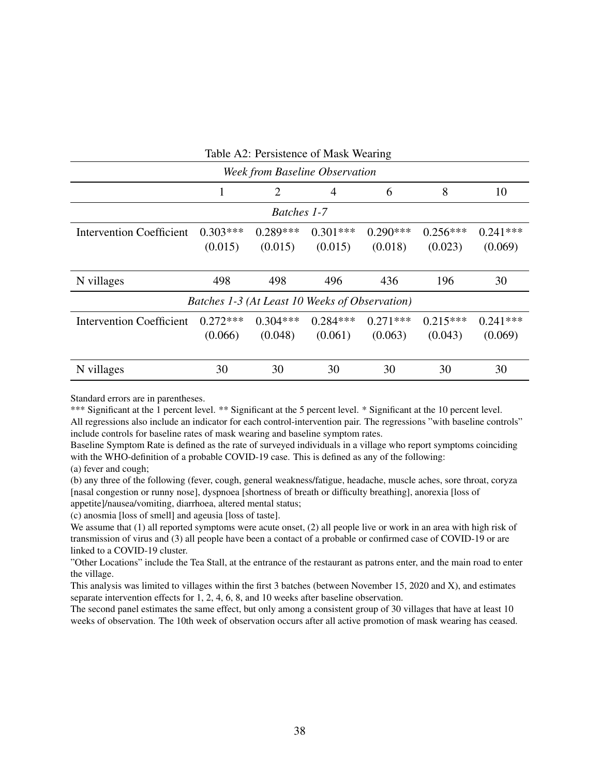<span id="page-39-0"></span>

|                                                | Table A2: Persistence of Mask Wearing |                       |                                |                       |                       |                       |  |  |  |
|------------------------------------------------|---------------------------------------|-----------------------|--------------------------------|-----------------------|-----------------------|-----------------------|--|--|--|
|                                                |                                       |                       | Week from Baseline Observation |                       |                       |                       |  |  |  |
|                                                | 1                                     | $\overline{2}$        | 4                              | 6                     | 8                     | 10                    |  |  |  |
|                                                |                                       | Batches 1-7           |                                |                       |                       |                       |  |  |  |
| <b>Intervention Coefficient</b>                | $0.303***$<br>(0.015)                 | $0.289***$<br>(0.015) | $0.301***$<br>(0.015)          | $0.290***$<br>(0.018) | $0.256***$<br>(0.023) | $0.241***$<br>(0.069) |  |  |  |
| N villages                                     | 498                                   | 498                   | 496                            | 436                   | 196                   | 30                    |  |  |  |
| Batches 1-3 (At Least 10 Weeks of Observation) |                                       |                       |                                |                       |                       |                       |  |  |  |
| Intervention Coefficient                       | $0.272***$<br>(0.066)                 | $0.304***$<br>(0.048) | $0.284***$<br>(0.061)          | $0.271***$<br>(0.063) | $0.215***$<br>(0.043) | $0.241***$<br>(0.069) |  |  |  |
| N villages                                     | 30                                    | 30                    | 30                             | 30                    | 30                    | 30                    |  |  |  |

Standard errors are in parentheses.

\*\*\* Significant at the 1 percent level. \*\* Significant at the 5 percent level. \* Significant at the 10 percent level. All regressions also include an indicator for each control-intervention pair. The regressions "with baseline controls" include controls for baseline rates of mask wearing and baseline symptom rates.

Baseline Symptom Rate is defined as the rate of surveyed individuals in a village who report symptoms coinciding with the WHO-definition of a probable COVID-19 case. This is defined as any of the following:

(a) fever and cough;

(b) any three of the following (fever, cough, general weakness/fatigue, headache, muscle aches, sore throat, coryza [nasal congestion or runny nose], dyspnoea [shortness of breath or difficulty breathing], anorexia [loss of appetite]/nausea/vomiting, diarrhoea, altered mental status;

(c) anosmia [loss of smell] and ageusia [loss of taste].

We assume that (1) all reported symptoms were acute onset, (2) all people live or work in an area with high risk of transmission of virus and (3) all people have been a contact of a probable or confirmed case of COVID-19 or are linked to a COVID-19 cluster.

"Other Locations" include the Tea Stall, at the entrance of the restaurant as patrons enter, and the main road to enter the village.

This analysis was limited to villages within the first 3 batches (between November 15, 2020 and X), and estimates separate intervention effects for 1, 2, 4, 6, 8, and 10 weeks after baseline observation.

The second panel estimates the same effect, but only among a consistent group of 30 villages that have at least 10 weeks of observation. The 10th week of observation occurs after all active promotion of mask wearing has ceased.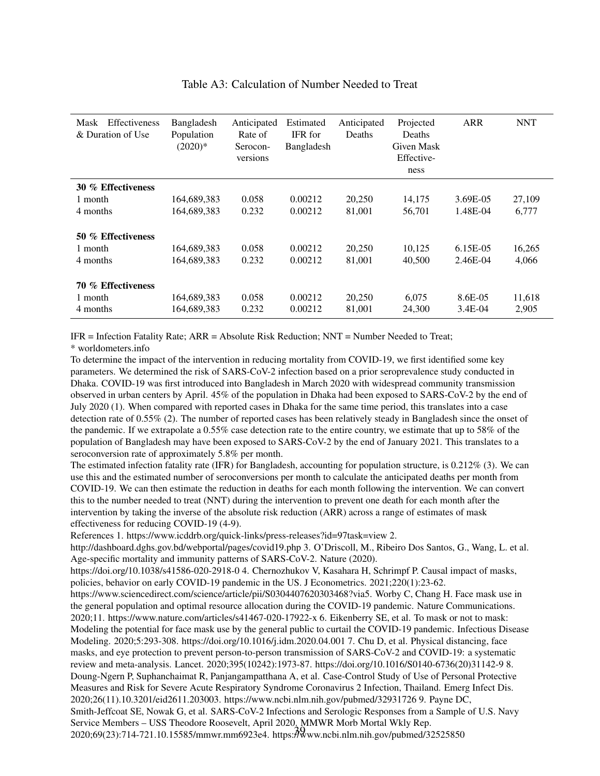| <b>Effectiveness</b><br>Mask<br>& Duration of Use | Bangladesh<br>Population<br>$(2020)*$ | Anticipated<br>Rate of<br>Serocon-<br>versions | Estimated<br><b>IFR</b> for<br>Bangladesh | Anticipated<br>Deaths | Projected<br>Deaths<br>Given Mask<br>Effective-<br>ness | <b>ARR</b> | <b>NNT</b> |
|---------------------------------------------------|---------------------------------------|------------------------------------------------|-------------------------------------------|-----------------------|---------------------------------------------------------|------------|------------|
| 30 % Effectiveness                                |                                       |                                                |                                           |                       |                                                         |            |            |
| 1 month                                           | 164,689,383                           | 0.058                                          | 0.00212                                   | 20,250                | 14,175                                                  | 3.69E-05   | 27,109     |
| 4 months                                          | 164,689,383                           | 0.232                                          | 0.00212                                   | 81,001                | 56,701                                                  | 1.48E-04   | 6,777      |
| 50 % Effectiveness                                |                                       |                                                |                                           |                       |                                                         |            |            |
| 1 month                                           | 164,689,383                           | 0.058                                          | 0.00212                                   | 20,250                | 10,125                                                  | 6.15E-05   | 16,265     |
| 4 months                                          | 164,689,383                           | 0.232                                          | 0.00212                                   | 81,001                | 40,500                                                  | 2.46E-04   | 4,066      |
| 70 % Effectiveness                                |                                       |                                                |                                           |                       |                                                         |            |            |
| 1 month                                           | 164,689,383                           | 0.058                                          | 0.00212                                   | 20,250                | 6.075                                                   | 8.6E-05    | 11,618     |
| 4 months                                          | 164,689,383                           | 0.232                                          | 0.00212                                   | 81,001                | 24,300                                                  | $3.4E-04$  | 2,905      |

### <span id="page-40-0"></span>Table A3: Calculation of Number Needed to Treat

IFR = Infection Fatality Rate; ARR = Absolute Risk Reduction; NNT = Number Needed to Treat;

\* worldometers.info

To determine the impact of the intervention in reducing mortality from COVID-19, we first identified some key parameters. We determined the risk of SARS-CoV-2 infection based on a prior seroprevalence study conducted in Dhaka. COVID-19 was first introduced into Bangladesh in March 2020 with widespread community transmission observed in urban centers by April. 45% of the population in Dhaka had been exposed to SARS-CoV-2 by the end of July 2020 (1). When compared with reported cases in Dhaka for the same time period, this translates into a case detection rate of 0.55% (2). The number of reported cases has been relatively steady in Bangladesh since the onset of the pandemic. If we extrapolate a 0.55% case detection rate to the entire country, we estimate that up to 58% of the population of Bangladesh may have been exposed to SARS-CoV-2 by the end of January 2021. This translates to a seroconversion rate of approximately 5.8% per month.

The estimated infection fatality rate (IFR) for Bangladesh, accounting for population structure, is 0.212% (3). We can use this and the estimated number of seroconversions per month to calculate the anticipated deaths per month from COVID-19. We can then estimate the reduction in deaths for each month following the intervention. We can convert this to the number needed to treat (NNT) during the intervention to prevent one death for each month after the intervention by taking the inverse of the absolute risk reduction (ARR) across a range of estimates of mask effectiveness for reducing COVID-19 (4-9).

References 1. https://www.icddrb.org/quick-links/press-releases?id=97task=view 2.

http://dashboard.dghs.gov.bd/webportal/pages/covid19.php 3. O'Driscoll, M., Ribeiro Dos Santos, G., Wang, L. et al. Age-specific mortality and immunity patterns of SARS-CoV-2. Nature (2020).

https://doi.org/10.1038/s41586-020-2918-0 4. Chernozhukov V, Kasahara H, Schrimpf P. Causal impact of masks, policies, behavior on early COVID-19 pandemic in the US. J Econometrics. 2021;220(1):23-62.

https://www.sciencedirect.com/science/article/pii/S0304407620303468?via5. Worby C, Chang H. Face mask use in the general population and optimal resource allocation during the COVID-19 pandemic. Nature Communications. 2020;11. https://www.nature.com/articles/s41467-020-17922-x 6. Eikenberry SE, et al. To mask or not to mask: Modeling the potential for face mask use by the general public to curtail the COVID-19 pandemic. Infectious Disease Modeling. 2020;5:293-308. https://doi.org/10.1016/j.idm.2020.04.001 7. Chu D, et al. Physical distancing, face masks, and eye protection to prevent person-to-person transmission of SARS-CoV-2 and COVID-19: a systematic review and meta-analysis. Lancet. 2020;395(10242):1973-87. https://doi.org/10.1016/S0140-6736(20)31142-9 8. Doung-Ngern P, Suphanchaimat R, Panjangampatthana A, et al. Case-Control Study of Use of Personal Protective Measures and Risk for Severe Acute Respiratory Syndrome Coronavirus 2 Infection, Thailand. Emerg Infect Dis. 2020;26(11).10.3201/eid2611.203003. https://www.ncbi.nlm.nih.gov/pubmed/32931726 9. Payne DC, Smith-Jeffcoat SE, Nowak G, et al. SARS-CoV-2 Infections and Serologic Responses from a Sample of U.S. Navy Service Members – USS Theodore Roosevelt, April 2020. MMWR Morb Mortal Wkly Rep. 2020;69(23):714-721.10.15585/mmwr.mm6923e4. https://www.ncbi.nlm.nih.gov/pubmed/32525850 39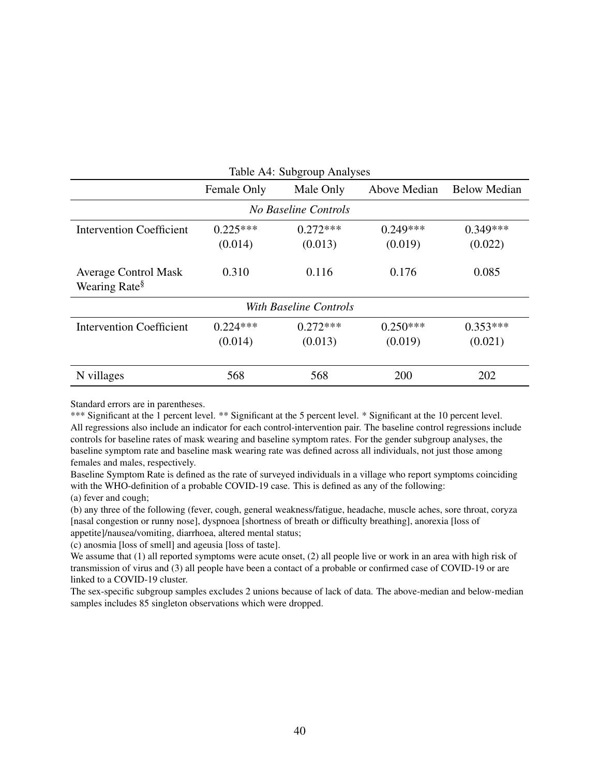|                                                          | Female Only           | Male Only             | Above Median          | <b>Below Median</b>   |  |  |  |  |
|----------------------------------------------------------|-----------------------|-----------------------|-----------------------|-----------------------|--|--|--|--|
|                                                          | No Baseline Controls  |                       |                       |                       |  |  |  |  |
| <b>Intervention Coefficient</b>                          | $0.225***$<br>(0.014) | $0.272***$<br>(0.013) | $0.249***$<br>(0.019) | $0.349***$<br>(0.022) |  |  |  |  |
| <b>Average Control Mask</b><br>Wearing Rate <sup>§</sup> | 0.310                 | 0.116                 | 0.176                 | 0.085                 |  |  |  |  |
| <b>With Baseline Controls</b>                            |                       |                       |                       |                       |  |  |  |  |
| <b>Intervention Coefficient</b>                          | $0.224***$<br>(0.014) | $0.272***$<br>(0.013) | $0.250***$<br>(0.019) | $0.353***$<br>(0.021) |  |  |  |  |
| N villages                                               | 568                   | 568                   | 200                   | 202                   |  |  |  |  |

<span id="page-41-0"></span>Table A4: Subgroup Analyses

Standard errors are in parentheses.

\*\*\* Significant at the 1 percent level. \*\* Significant at the 5 percent level. \* Significant at the 10 percent level. All regressions also include an indicator for each control-intervention pair. The baseline control regressions include controls for baseline rates of mask wearing and baseline symptom rates. For the gender subgroup analyses, the baseline symptom rate and baseline mask wearing rate was defined across all individuals, not just those among females and males, respectively.

Baseline Symptom Rate is defined as the rate of surveyed individuals in a village who report symptoms coinciding with the WHO-definition of a probable COVID-19 case. This is defined as any of the following: (a) fever and cough;

(b) any three of the following (fever, cough, general weakness/fatigue, headache, muscle aches, sore throat, coryza [nasal congestion or runny nose], dyspnoea [shortness of breath or difficulty breathing], anorexia [loss of appetite]/nausea/vomiting, diarrhoea, altered mental status;

(c) anosmia [loss of smell] and ageusia [loss of taste].

We assume that (1) all reported symptoms were acute onset, (2) all people live or work in an area with high risk of transmission of virus and (3) all people have been a contact of a probable or confirmed case of COVID-19 or are linked to a COVID-19 cluster.

The sex-specific subgroup samples excludes 2 unions because of lack of data. The above-median and below-median samples includes 85 singleton observations which were dropped.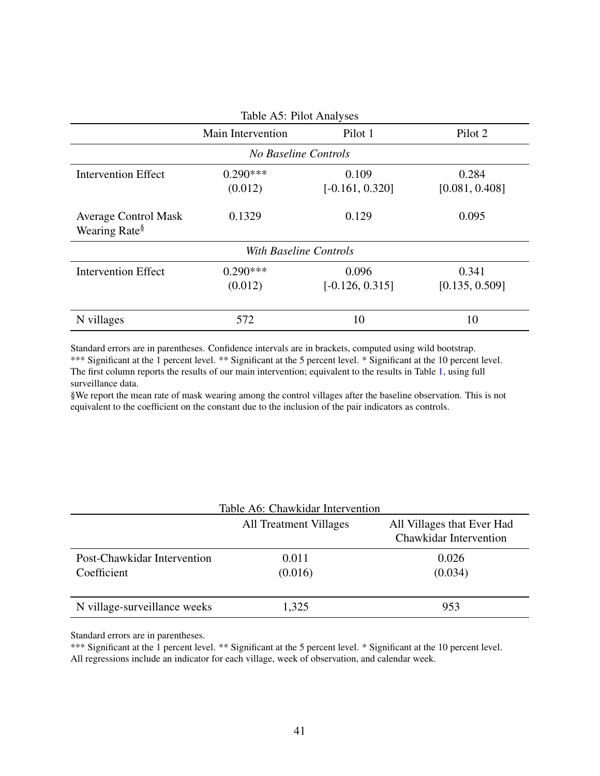<span id="page-42-0"></span>

| Table A5: Pilot Analyses                                 |                       |                            |                         |  |  |
|----------------------------------------------------------|-----------------------|----------------------------|-------------------------|--|--|
|                                                          | Main Intervention     | Pilot 1                    | Pilot 2                 |  |  |
|                                                          | No Baseline Controls  |                            |                         |  |  |
| <b>Intervention Effect</b>                               | $0.290***$<br>(0.012) | 0.109<br>$[-0.161, 0.320]$ | 0.284<br>[0.081, 0.408] |  |  |
| <b>Average Control Mask</b><br>Wearing Rate <sup>§</sup> | 0.1329                | 0.129                      | 0.095                   |  |  |
| With Baseline Controls                                   |                       |                            |                         |  |  |
| <b>Intervention Effect</b>                               | $0.290***$<br>(0.012) | 0.096<br>$[-0.126, 0.315]$ | 0.341<br>[0.135, 0.509] |  |  |
| N villages                                               | 572                   | 10                         | 10                      |  |  |

Standard errors are in parentheses. Confidence intervals are in brackets, computed using wild bootstrap. \*\*\* Significant at the 1 percent level. \*\* Significant at the 5 percent level. \* Significant at the 10 percent level. The first column reports the results of our main intervention; equivalent to the results in Table [1,](#page-18-0) using full surveillance data.

§We report the mean rate of mask wearing among the control villages after the baseline observation. This is not equivalent to the coefficient on the constant due to the inclusion of the pair indicators as controls.

<span id="page-42-1"></span>

| Table A6: Chawkidar Intervention           |                        |                                                      |  |  |  |
|--------------------------------------------|------------------------|------------------------------------------------------|--|--|--|
|                                            | All Treatment Villages | All Villages that Ever Had<br>Chawkidar Intervention |  |  |  |
| Post-Chawkidar Intervention<br>Coefficient | 0.011<br>(0.016)       | 0.026<br>(0.034)                                     |  |  |  |
| N village-surveillance weeks               | 1,325                  | 953                                                  |  |  |  |

Standard errors are in parentheses.

\*\*\* Significant at the 1 percent level. \*\* Significant at the 5 percent level. \* Significant at the 10 percent level. All regressions include an indicator for each village, week of observation, and calendar week.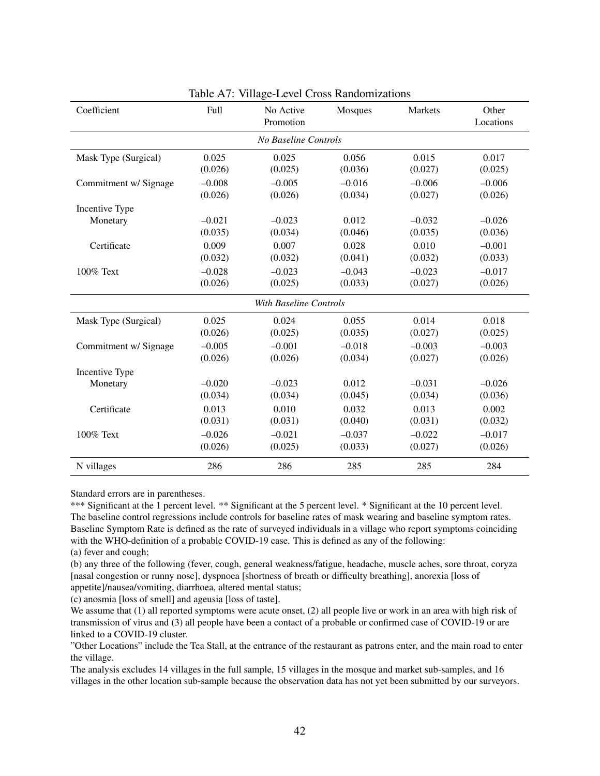| Coefficient           | Full     | No Active<br>Promotion        | Mosques  | Markets  | Other<br>Locations |
|-----------------------|----------|-------------------------------|----------|----------|--------------------|
|                       |          | No Baseline Controls          |          |          |                    |
| Mask Type (Surgical)  | 0.025    | 0.025                         | 0.056    | 0.015    | 0.017              |
|                       | (0.026)  | (0.025)                       | (0.036)  | (0.027)  | (0.025)            |
| Commitment w/ Signage | $-0.008$ | $-0.005$                      | $-0.016$ | $-0.006$ | $-0.006$           |
|                       | (0.026)  | (0.026)                       | (0.034)  | (0.027)  | (0.026)            |
| Incentive Type        |          |                               |          |          |                    |
| Monetary              | $-0.021$ | $-0.023$                      | 0.012    | $-0.032$ | $-0.026$           |
|                       | (0.035)  | (0.034)                       | (0.046)  | (0.035)  | (0.036)            |
| Certificate           | 0.009    | 0.007                         | 0.028    | 0.010    | $-0.001$           |
|                       | (0.032)  | (0.032)                       | (0.041)  | (0.032)  | (0.033)            |
| 100% Text             | $-0.028$ | $-0.023$                      | $-0.043$ | $-0.023$ | $-0.017$           |
|                       | (0.026)  | (0.025)                       | (0.033)  | (0.027)  | (0.026)            |
|                       |          | <b>With Baseline Controls</b> |          |          |                    |
| Mask Type (Surgical)  | 0.025    | 0.024                         | 0.055    | 0.014    | 0.018              |
|                       | (0.026)  | (0.025)                       | (0.035)  | (0.027)  | (0.025)            |
| Commitment w/ Signage | $-0.005$ | $-0.001$                      | $-0.018$ | $-0.003$ | $-0.003$           |
|                       | (0.026)  | (0.026)                       | (0.034)  | (0.027)  | (0.026)            |
| Incentive Type        |          |                               |          |          |                    |
| Monetary              | $-0.020$ | $-0.023$                      | 0.012    | $-0.031$ | $-0.026$           |
|                       | (0.034)  | (0.034)                       | (0.045)  | (0.034)  | (0.036)            |
| Certificate           | 0.013    | 0.010                         | 0.032    | 0.013    | 0.002              |
|                       | (0.031)  | (0.031)                       | (0.040)  | (0.031)  | (0.032)            |
| 100% Text             | $-0.026$ | $-0.021$                      | $-0.037$ | $-0.022$ | $-0.017$           |
|                       | (0.026)  | (0.025)                       | (0.033)  | (0.027)  | (0.026)            |
| N villages            | 286      | 286                           | 285      | 285      | 284                |

### <span id="page-43-0"></span>Table A7: Village-Level Cross Randomizations

Standard errors are in parentheses.

\*\*\* Significant at the 1 percent level. \*\* Significant at the 5 percent level. \* Significant at the 10 percent level. The baseline control regressions include controls for baseline rates of mask wearing and baseline symptom rates. Baseline Symptom Rate is defined as the rate of surveyed individuals in a village who report symptoms coinciding with the WHO-definition of a probable COVID-19 case. This is defined as any of the following: (a) fever and cough;

(b) any three of the following (fever, cough, general weakness/fatigue, headache, muscle aches, sore throat, coryza [nasal congestion or runny nose], dyspnoea [shortness of breath or difficulty breathing], anorexia [loss of appetite]/nausea/vomiting, diarrhoea, altered mental status;

(c) anosmia [loss of smell] and ageusia [loss of taste].

We assume that (1) all reported symptoms were acute onset, (2) all people live or work in an area with high risk of transmission of virus and (3) all people have been a contact of a probable or confirmed case of COVID-19 or are linked to a COVID-19 cluster.

"Other Locations" include the Tea Stall, at the entrance of the restaurant as patrons enter, and the main road to enter the village.

The analysis excludes 14 villages in the full sample, 15 villages in the mosque and market sub-samples, and 16 villages in the other location sub-sample because the observation data has not yet been submitted by our surveyors.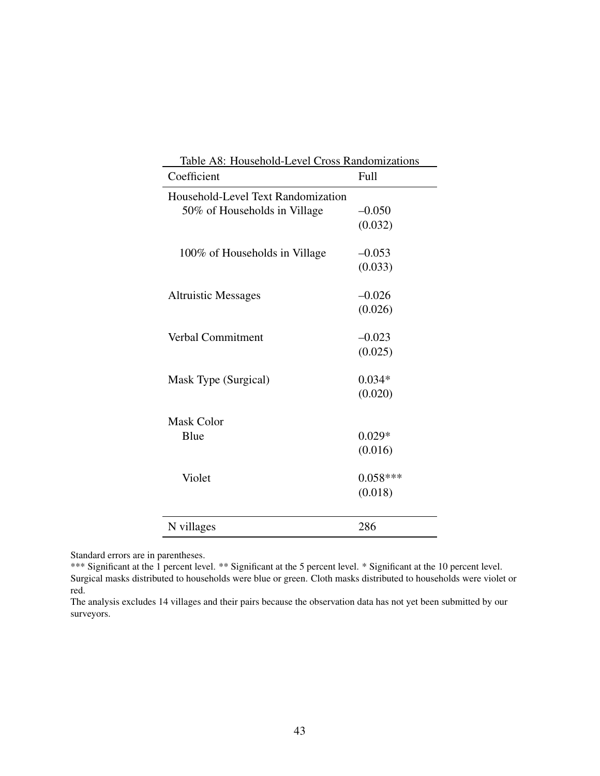<span id="page-44-0"></span>

| Table A8: Household-Level Cross Randomizations |            |  |  |  |
|------------------------------------------------|------------|--|--|--|
| Coefficient                                    | Full       |  |  |  |
| Household-Level Text Randomization             |            |  |  |  |
| 50% of Households in Village                   | $-0.050$   |  |  |  |
|                                                | (0.032)    |  |  |  |
| 100% of Households in Village                  | $-0.053$   |  |  |  |
|                                                | (0.033)    |  |  |  |
| <b>Altruistic Messages</b>                     | $-0.026$   |  |  |  |
|                                                | (0.026)    |  |  |  |
| Verbal Commitment                              | $-0.023$   |  |  |  |
|                                                | (0.025)    |  |  |  |
|                                                |            |  |  |  |
| Mask Type (Surgical)                           | $0.034*$   |  |  |  |
|                                                | (0.020)    |  |  |  |
| Mask Color                                     |            |  |  |  |
| Blue                                           | $0.029*$   |  |  |  |
|                                                | (0.016)    |  |  |  |
| Violet                                         | $0.058***$ |  |  |  |
|                                                | (0.018)    |  |  |  |
|                                                |            |  |  |  |
| N villages                                     | 286        |  |  |  |

Standard errors are in parentheses.

\*\*\* Significant at the 1 percent level. \*\* Significant at the 5 percent level. \* Significant at the 10 percent level. Surgical masks distributed to households were blue or green. Cloth masks distributed to households were violet or red.

The analysis excludes 14 villages and their pairs because the observation data has not yet been submitted by our surveyors.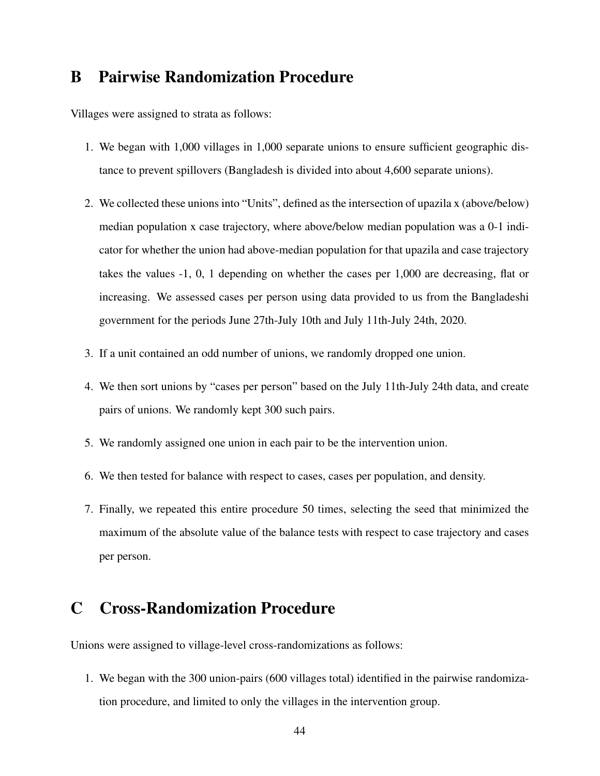# <span id="page-45-0"></span>B Pairwise Randomization Procedure

Villages were assigned to strata as follows:

- 1. We began with 1,000 villages in 1,000 separate unions to ensure sufficient geographic distance to prevent spillovers (Bangladesh is divided into about 4,600 separate unions).
- 2. We collected these unions into "Units", defined as the intersection of upazila x (above/below) median population x case trajectory, where above/below median population was a 0-1 indicator for whether the union had above-median population for that upazila and case trajectory takes the values -1, 0, 1 depending on whether the cases per 1,000 are decreasing, flat or increasing. We assessed cases per person using data provided to us from the Bangladeshi government for the periods June 27th-July 10th and July 11th-July 24th, 2020.
- 3. If a unit contained an odd number of unions, we randomly dropped one union.
- 4. We then sort unions by "cases per person" based on the July 11th-July 24th data, and create pairs of unions. We randomly kept 300 such pairs.
- 5. We randomly assigned one union in each pair to be the intervention union.
- 6. We then tested for balance with respect to cases, cases per population, and density.
- 7. Finally, we repeated this entire procedure 50 times, selecting the seed that minimized the maximum of the absolute value of the balance tests with respect to case trajectory and cases per person.

# <span id="page-45-1"></span>C Cross-Randomization Procedure

Unions were assigned to village-level cross-randomizations as follows:

1. We began with the 300 union-pairs (600 villages total) identified in the pairwise randomization procedure, and limited to only the villages in the intervention group.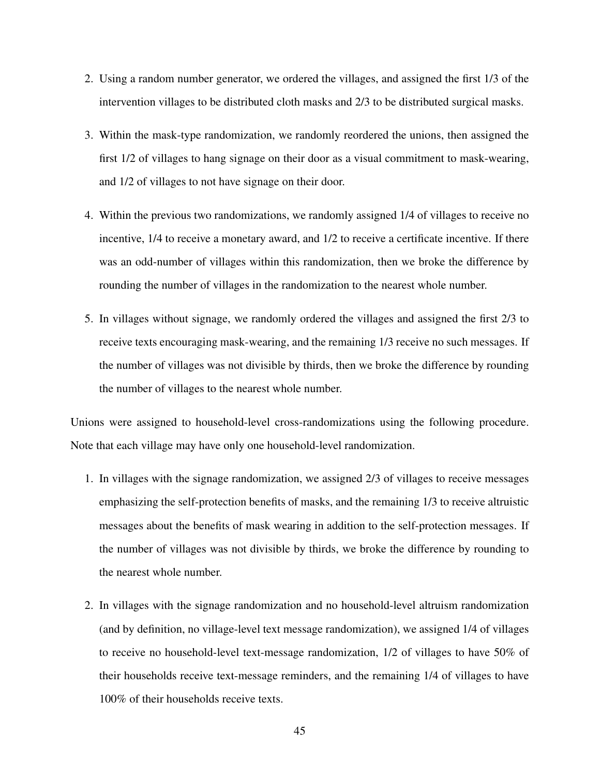- 2. Using a random number generator, we ordered the villages, and assigned the first 1/3 of the intervention villages to be distributed cloth masks and 2/3 to be distributed surgical masks.
- 3. Within the mask-type randomization, we randomly reordered the unions, then assigned the first 1/2 of villages to hang signage on their door as a visual commitment to mask-wearing, and 1/2 of villages to not have signage on their door.
- 4. Within the previous two randomizations, we randomly assigned 1/4 of villages to receive no incentive, 1/4 to receive a monetary award, and 1/2 to receive a certificate incentive. If there was an odd-number of villages within this randomization, then we broke the difference by rounding the number of villages in the randomization to the nearest whole number.
- 5. In villages without signage, we randomly ordered the villages and assigned the first 2/3 to receive texts encouraging mask-wearing, and the remaining 1/3 receive no such messages. If the number of villages was not divisible by thirds, then we broke the difference by rounding the number of villages to the nearest whole number.

Unions were assigned to household-level cross-randomizations using the following procedure. Note that each village may have only one household-level randomization.

- 1. In villages with the signage randomization, we assigned 2/3 of villages to receive messages emphasizing the self-protection benefits of masks, and the remaining 1/3 to receive altruistic messages about the benefits of mask wearing in addition to the self-protection messages. If the number of villages was not divisible by thirds, we broke the difference by rounding to the nearest whole number.
- 2. In villages with the signage randomization and no household-level altruism randomization (and by definition, no village-level text message randomization), we assigned 1/4 of villages to receive no household-level text-message randomization, 1/2 of villages to have 50% of their households receive text-message reminders, and the remaining 1/4 of villages to have 100% of their households receive texts.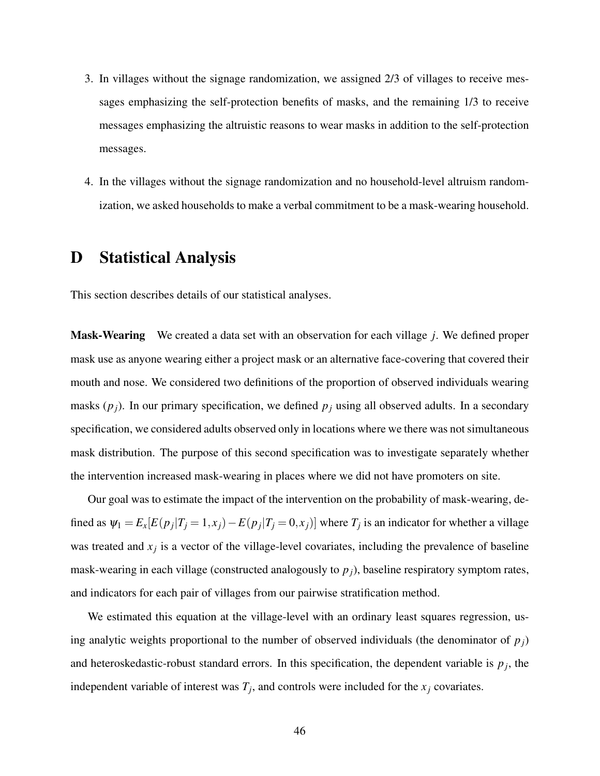- 3. In villages without the signage randomization, we assigned 2/3 of villages to receive messages emphasizing the self-protection benefits of masks, and the remaining 1/3 to receive messages emphasizing the altruistic reasons to wear masks in addition to the self-protection messages.
- 4. In the villages without the signage randomization and no household-level altruism randomization, we asked households to make a verbal commitment to be a mask-wearing household.

# <span id="page-47-0"></span>D Statistical Analysis

This section describes details of our statistical analyses.

Mask-Wearing We created a data set with an observation for each village *j*. We defined proper mask use as anyone wearing either a project mask or an alternative face-covering that covered their mouth and nose. We considered two definitions of the proportion of observed individuals wearing masks  $(p_i)$ . In our primary specification, we defined  $p_i$  using all observed adults. In a secondary specification, we considered adults observed only in locations where we there was not simultaneous mask distribution. The purpose of this second specification was to investigate separately whether the intervention increased mask-wearing in places where we did not have promoters on site.

Our goal was to estimate the impact of the intervention on the probability of mask-wearing, defined as  $\psi_1 = E_x[E(p_j|T_j = 1, x_j) - E(p_j|T_j = 0, x_j)]$  where  $T_j$  is an indicator for whether a village was treated and  $x_j$  is a vector of the village-level covariates, including the prevalence of baseline mask-wearing in each village (constructed analogously to *pj*), baseline respiratory symptom rates, and indicators for each pair of villages from our pairwise stratification method.

We estimated this equation at the village-level with an ordinary least squares regression, using analytic weights proportional to the number of observed individuals (the denominator of *pj*) and heteroskedastic-robust standard errors. In this specification, the dependent variable is  $p_j$ , the independent variable of interest was  $T_j$ , and controls were included for the  $x_j$  covariates.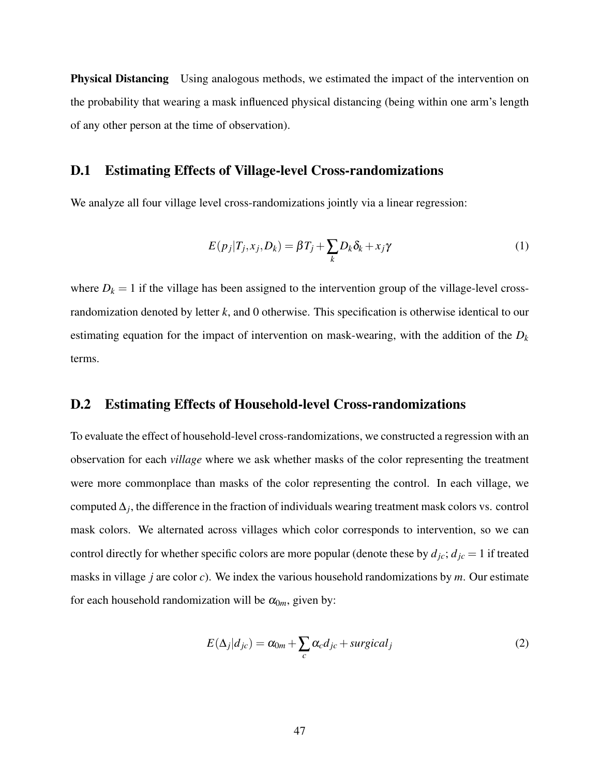**Physical Distancing** Using analogous methods, we estimated the impact of the intervention on the probability that wearing a mask influenced physical distancing (being within one arm's length of any other person at the time of observation).

### D.1 Estimating Effects of Village-level Cross-randomizations

We analyze all four village level cross-randomizations jointly via a linear regression:

$$
E(p_j|T_j, x_j, D_k) = \beta T_j + \sum_k D_k \delta_k + x_j \gamma \tag{1}
$$

where  $D_k = 1$  if the village has been assigned to the intervention group of the village-level crossrandomization denoted by letter *k*, and 0 otherwise. This specification is otherwise identical to our estimating equation for the impact of intervention on mask-wearing, with the addition of the *D<sup>k</sup>* terms.

### D.2 Estimating Effects of Household-level Cross-randomizations

To evaluate the effect of household-level cross-randomizations, we constructed a regression with an observation for each *village* where we ask whether masks of the color representing the treatment were more commonplace than masks of the color representing the control. In each village, we computed ∆*<sup>j</sup>* , the difference in the fraction of individuals wearing treatment mask colors vs. control mask colors. We alternated across villages which color corresponds to intervention, so we can control directly for whether specific colors are more popular (denote these by  $d_{jc}$ ;  $d_{jc} = 1$  if treated masks in village *j* are color *c*). We index the various household randomizations by *m*. Our estimate for each household randomization will be  $\alpha_{0m}$ , given by:

$$
E(\Delta_j|d_{jc}) = \alpha_{0m} + \sum_c \alpha_c d_{jc} + surgical_j \tag{2}
$$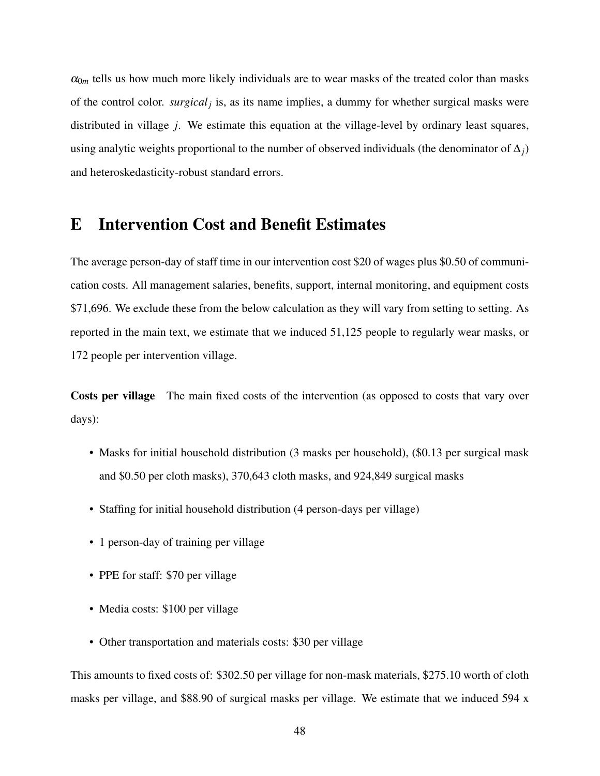$\alpha_{0m}$  tells us how much more likely individuals are to wear masks of the treated color than masks of the control color. *surgical<sup>j</sup>* is, as its name implies, a dummy for whether surgical masks were distributed in village *j*. We estimate this equation at the village-level by ordinary least squares, using analytic weights proportional to the number of observed individuals (the denominator of  $\Delta_i$ ) and heteroskedasticity-robust standard errors.

# <span id="page-49-0"></span>E Intervention Cost and Benefit Estimates

The average person-day of staff time in our intervention cost \$20 of wages plus \$0.50 of communication costs. All management salaries, benefits, support, internal monitoring, and equipment costs \$71,696. We exclude these from the below calculation as they will vary from setting to setting. As reported in the main text, we estimate that we induced 51,125 people to regularly wear masks, or 172 people per intervention village.

Costs per village The main fixed costs of the intervention (as opposed to costs that vary over days):

- Masks for initial household distribution (3 masks per household), (\$0.13 per surgical mask and \$0.50 per cloth masks), 370,643 cloth masks, and 924,849 surgical masks
- Staffing for initial household distribution (4 person-days per village)
- 1 person-day of training per village
- PPE for staff: \$70 per village
- Media costs: \$100 per village
- Other transportation and materials costs: \$30 per village

This amounts to fixed costs of: \$302.50 per village for non-mask materials, \$275.10 worth of cloth masks per village, and \$88.90 of surgical masks per village. We estimate that we induced 594 x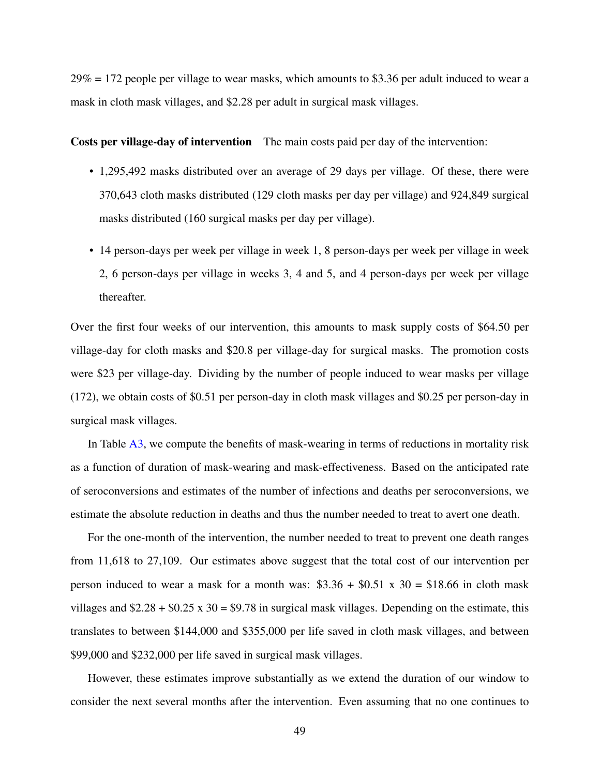$29\% = 172$  people per village to wear masks, which amounts to \$3.36 per adult induced to wear a mask in cloth mask villages, and \$2.28 per adult in surgical mask villages.

### Costs per village-day of intervention The main costs paid per day of the intervention:

- 1,295,492 masks distributed over an average of 29 days per village. Of these, there were 370,643 cloth masks distributed (129 cloth masks per day per village) and 924,849 surgical masks distributed (160 surgical masks per day per village).
- 14 person-days per week per village in week 1, 8 person-days per week per village in week 2, 6 person-days per village in weeks 3, 4 and 5, and 4 person-days per week per village thereafter.

Over the first four weeks of our intervention, this amounts to mask supply costs of \$64.50 per village-day for cloth masks and \$20.8 per village-day for surgical masks. The promotion costs were \$23 per village-day. Dividing by the number of people induced to wear masks per village (172), we obtain costs of \$0.51 per person-day in cloth mask villages and \$0.25 per person-day in surgical mask villages.

In Table [A3,](#page-40-0) we compute the benefits of mask-wearing in terms of reductions in mortality risk as a function of duration of mask-wearing and mask-effectiveness. Based on the anticipated rate of seroconversions and estimates of the number of infections and deaths per seroconversions, we estimate the absolute reduction in deaths and thus the number needed to treat to avert one death.

For the one-month of the intervention, the number needed to treat to prevent one death ranges from 11,618 to 27,109. Our estimates above suggest that the total cost of our intervention per person induced to wear a mask for a month was:  $$3.36 + $0.51 \times 30 = $18.66$  in cloth mask villages and  $$2.28 + $0.25 \times 30 = $9.78$  in surgical mask villages. Depending on the estimate, this translates to between \$144,000 and \$355,000 per life saved in cloth mask villages, and between \$99,000 and \$232,000 per life saved in surgical mask villages.

However, these estimates improve substantially as we extend the duration of our window to consider the next several months after the intervention. Even assuming that no one continues to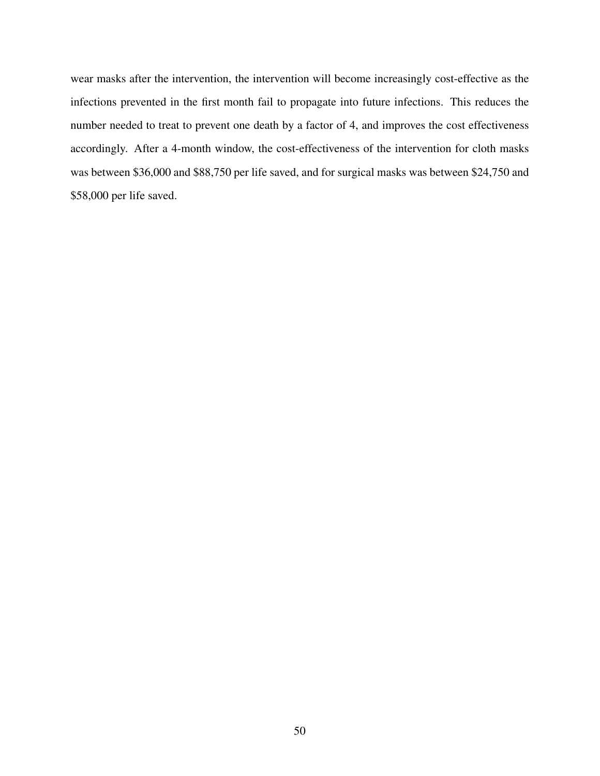wear masks after the intervention, the intervention will become increasingly cost-effective as the infections prevented in the first month fail to propagate into future infections. This reduces the number needed to treat to prevent one death by a factor of 4, and improves the cost effectiveness accordingly. After a 4-month window, the cost-effectiveness of the intervention for cloth masks was between \$36,000 and \$88,750 per life saved, and for surgical masks was between \$24,750 and \$58,000 per life saved.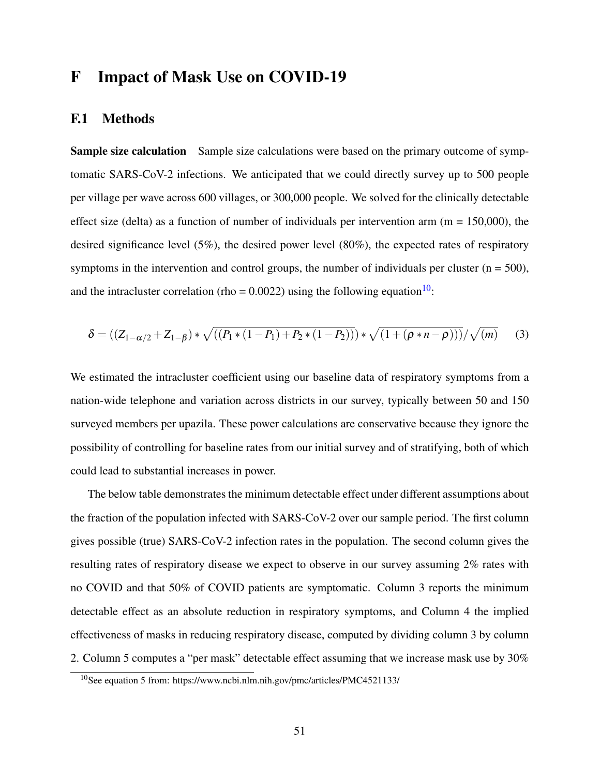# F Impact of Mask Use on COVID-19

### F.1 Methods

Sample size calculation Sample size calculations were based on the primary outcome of symptomatic SARS-CoV-2 infections. We anticipated that we could directly survey up to 500 people per village per wave across 600 villages, or 300,000 people. We solved for the clinically detectable effect size (delta) as a function of number of individuals per intervention arm ( $m = 150,000$ ), the desired significance level (5%), the desired power level (80%), the expected rates of respiratory symptoms in the intervention and control groups, the number of individuals per cluster  $(n = 500)$ , and the intracluster correlation (rho =  $0.0022$ ) using the following equation<sup>[10](#page-52-0)</sup>:

$$
\delta = ((Z_{1-\alpha/2} + Z_{1-\beta}) * \sqrt{((P_1 * (1 - P_1) + P_2 * (1 - P_2)))} * \sqrt{(1 + (\rho * n - \rho)))}/\sqrt{(m)}
$$
(3)

We estimated the intracluster coefficient using our baseline data of respiratory symptoms from a nation-wide telephone and variation across districts in our survey, typically between 50 and 150 surveyed members per upazila. These power calculations are conservative because they ignore the possibility of controlling for baseline rates from our initial survey and of stratifying, both of which could lead to substantial increases in power.

The below table demonstrates the minimum detectable effect under different assumptions about the fraction of the population infected with SARS-CoV-2 over our sample period. The first column gives possible (true) SARS-CoV-2 infection rates in the population. The second column gives the resulting rates of respiratory disease we expect to observe in our survey assuming 2% rates with no COVID and that 50% of COVID patients are symptomatic. Column 3 reports the minimum detectable effect as an absolute reduction in respiratory symptoms, and Column 4 the implied effectiveness of masks in reducing respiratory disease, computed by dividing column 3 by column 2. Column 5 computes a "per mask" detectable effect assuming that we increase mask use by 30%

<span id="page-52-0"></span><sup>10</sup>See equation 5 from: https://www.ncbi.nlm.nih.gov/pmc/articles/PMC4521133/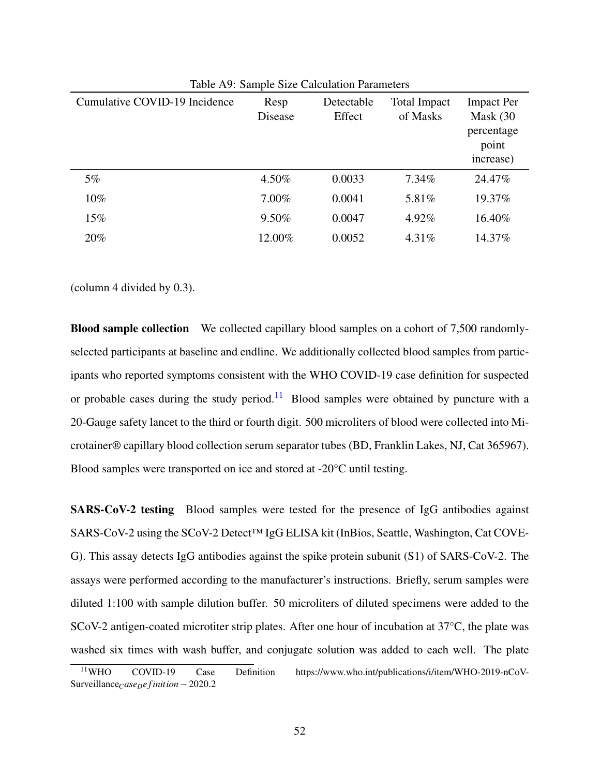| Cumulative COVID-19 Incidence | Resp<br>Disease | Detectable<br>Effect | <b>Total Impact</b><br>of Masks | <b>Impact Per</b><br>Mask $(30)$<br>percentage<br>point<br>increase) |  |
|-------------------------------|-----------------|----------------------|---------------------------------|----------------------------------------------------------------------|--|
| $5\%$                         | 4.50%           | 0.0033               | 7.34%                           | 24.47%                                                               |  |
| 10%                           | 7.00%           | 0.0041               | 5.81%                           | 19.37%                                                               |  |
| 15%                           | 9.50%           | 0.0047               | 4.92%                           | 16.40%                                                               |  |
| 20%                           | 12.00%          | 0.0052               | 4.31%                           | 14.37%                                                               |  |

Table A9: Sample Size Calculation Parameters

(column 4 divided by 0.3).

Blood sample collection We collected capillary blood samples on a cohort of 7,500 randomlyselected participants at baseline and endline. We additionally collected blood samples from participants who reported symptoms consistent with the WHO COVID-19 case definition for suspected or probable cases during the study period.<sup>[11](#page-53-0)</sup> Blood samples were obtained by puncture with a 20-Gauge safety lancet to the third or fourth digit. 500 microliters of blood were collected into Microtainer® capillary blood collection serum separator tubes (BD, Franklin Lakes, NJ, Cat 365967). Blood samples were transported on ice and stored at -20°C until testing.

SARS-CoV-2 testing Blood samples were tested for the presence of IgG antibodies against SARS-CoV-2 using the SCoV-2 Detect™ IgG ELISA kit (InBios, Seattle, Washington, Cat COVE-G). This assay detects IgG antibodies against the spike protein subunit (S1) of SARS-CoV-2. The assays were performed according to the manufacturer's instructions. Briefly, serum samples were diluted 1:100 with sample dilution buffer. 50 microliters of diluted specimens were added to the SCoV-2 antigen-coated microtiter strip plates. After one hour of incubation at 37°C, the plate was washed six times with wash buffer, and conjugate solution was added to each well. The plate

<span id="page-53-0"></span><sup>11</sup>WHO COVID-19 Case Definition https://www.who.int/publications/i/item/WHO-2019-nCoV-Surveillance*CaseDe finition*−2020.2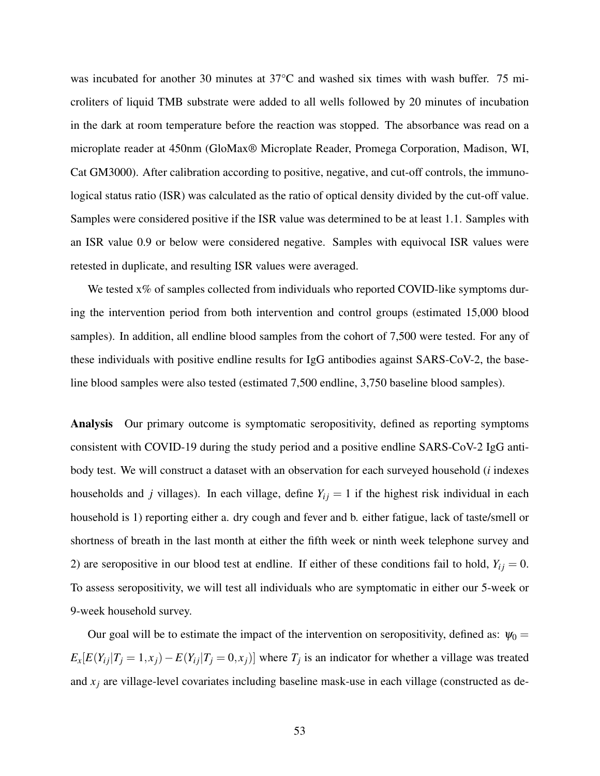was incubated for another 30 minutes at 37°C and washed six times with wash buffer. 75 microliters of liquid TMB substrate were added to all wells followed by 20 minutes of incubation in the dark at room temperature before the reaction was stopped. The absorbance was read on a microplate reader at 450nm (GloMax® Microplate Reader, Promega Corporation, Madison, WI, Cat GM3000). After calibration according to positive, negative, and cut-off controls, the immunological status ratio (ISR) was calculated as the ratio of optical density divided by the cut-off value. Samples were considered positive if the ISR value was determined to be at least 1.1. Samples with an ISR value 0.9 or below were considered negative. Samples with equivocal ISR values were retested in duplicate, and resulting ISR values were averaged.

We tested x% of samples collected from individuals who reported COVID-like symptoms during the intervention period from both intervention and control groups (estimated 15,000 blood samples). In addition, all endline blood samples from the cohort of 7,500 were tested. For any of these individuals with positive endline results for IgG antibodies against SARS-CoV-2, the baseline blood samples were also tested (estimated 7,500 endline, 3,750 baseline blood samples).

Analysis Our primary outcome is symptomatic seropositivity, defined as reporting symptoms consistent with COVID-19 during the study period and a positive endline SARS-CoV-2 IgG antibody test. We will construct a dataset with an observation for each surveyed household (*i* indexes households and *j* villages). In each village, define  $Y_{ij} = 1$  if the highest risk individual in each household is 1) reporting either a. dry cough and fever and b. either fatigue, lack of taste/smell or shortness of breath in the last month at either the fifth week or ninth week telephone survey and 2) are seropositive in our blood test at endline. If either of these conditions fail to hold,  $Y_{ij} = 0$ . To assess seropositivity, we will test all individuals who are symptomatic in either our 5-week or 9-week household survey.

Our goal will be to estimate the impact of the intervention on seropositivity, defined as:  $\psi_0 =$  $E_x[E(Y_{ij}|T_j=1,x_j)-E(Y_{ij}|T_j=0,x_j)]$  where  $T_j$  is an indicator for whether a village was treated and  $x_i$  are village-level covariates including baseline mask-use in each village (constructed as de